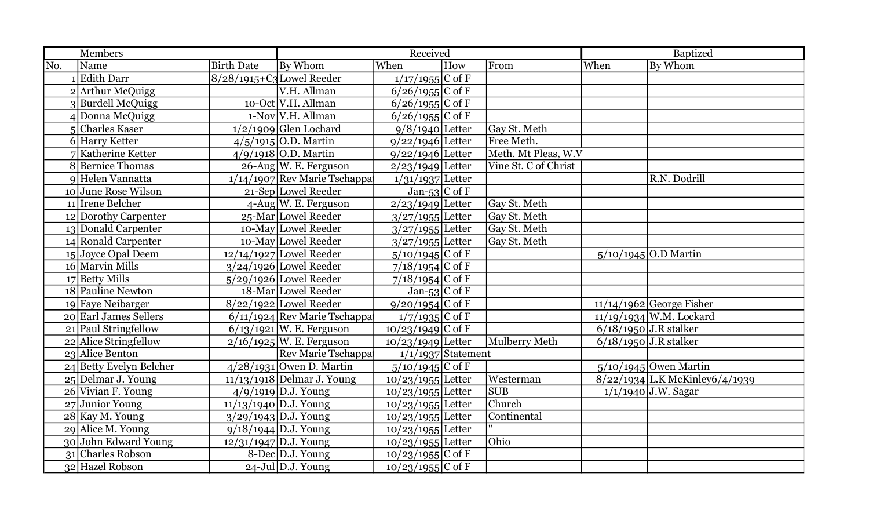|     | <b>Members</b>          |                   |                                | Received             |     | <b>Baptized</b>      |      |                                |
|-----|-------------------------|-------------------|--------------------------------|----------------------|-----|----------------------|------|--------------------------------|
| No. | Name                    | <b>Birth Date</b> | By Whom                        | When                 | How | From                 | When | By Whom                        |
|     | $1$ Edith Darr          |                   | $8/28/1915+C3$ Lowel Reeder    | $1/17/1955$ C of F   |     |                      |      |                                |
|     | $2$ Arthur McQuigg      |                   | V.H. Allman                    | $6/26/1955$ C of F   |     |                      |      |                                |
|     | 3 Burdell McQuigg       |                   | 10-Oct V.H. Allman             | $6/26/1955$ C of F   |     |                      |      |                                |
|     | 4 Donna McQuigg         |                   | $1-Nov$ V.H. Allman            | $6/26/1955$ C of F   |     |                      |      |                                |
|     | 5 Charles Kaser         |                   | $1/2/1909$ Glen Lochard        | $9/8/1940$ Letter    |     | Gay St. Meth         |      |                                |
|     | 6 Harry Ketter          |                   | $4/5/1915$ O.D. Martin         | $9/22/1946$ Letter   |     | Free Meth.           |      |                                |
|     | 7 Katherine Ketter      |                   | 4/9/1918 O.D. Martin           | $9/22/1946$ Letter   |     | Meth. Mt Pleas, W.V  |      |                                |
|     | 8 Bernice Thomas        |                   | $26$ -Aug W. E. Ferguson       | $2/23/1949$ Letter   |     | Vine St. C of Christ |      |                                |
|     | 9 Helen Vannatta        |                   | $1/14/1907$ Rev Marie Tschappa | $1/31/1937$ Letter   |     |                      |      | R.N. Dodrill                   |
|     | 10 June Rose Wilson     |                   | 21-Sep Lowel Reeder            | Jan-53 C of F        |     |                      |      |                                |
|     | 11 Irene Belcher        |                   | $4$ -Aug W. E. Ferguson        | $2/23/1949$ Letter   |     | Gay St. Meth         |      |                                |
|     | 12 Dorothy Carpenter    |                   | 25-Mar Lowel Reeder            | $3/27/1955$ Letter   |     | Gay St. Meth         |      |                                |
|     | 13 Donald Carpenter     |                   | 10-May Lowel Reeder            | $3/27/1955$ Letter   |     | Gay St. Meth         |      |                                |
|     | 14 Ronald Carpenter     |                   | 10-May Lowel Reeder            | $3/27/1955$ Letter   |     | Gay St. Meth         |      |                                |
|     | 15 Joyce Opal Deem      |                   | $12/14/1927$ Lowel Reeder      | $5/10/1945$ C of F   |     |                      |      | $5/10/1945$ O.D Martin         |
|     | 16 Marvin Mills         |                   | $3/24/1926$ Lowel Reeder       | $7/18/1954$ C of F   |     |                      |      |                                |
|     | 17 Betty Mills          |                   | $5/29/1926$ Lowel Reeder       | $7/18/1954$ C of F   |     |                      |      |                                |
|     | 18 Pauline Newton       |                   | 18-Mar Lowel Reeder            | Jan-53 $C$ of F      |     |                      |      |                                |
|     | 19 Faye Neibarger       |                   | $8/22/1922$ Lowel Reeder       | $9/20/1954$ C of F   |     |                      |      | $11/14/1962$ George Fisher     |
|     | 20 Earl James Sellers   |                   | $6/11/1924$ Rev Marie Tschappa | $1/7/1935$ C of F    |     |                      |      | $11/19/1934$ W.M. Lockard      |
|     | 21 Paul Stringfellow    |                   | $6/13/1921$ W. E. Ferguson     | $10/23/1949$ C of F  |     |                      |      | $6/18/1950$ J.R stalker        |
|     | 22 Alice Stringfellow   |                   | $2/16/1925$ W. E. Ferguson     | $10/23/1949$ Letter  |     | <b>Mulberry Meth</b> |      | $6/18/1950$ J.R stalker        |
|     | 23 Alice Benton         |                   | Rev Marie Tschappa             | $1/1/1937$ Statement |     |                      |      |                                |
|     | 24 Betty Evelyn Belcher |                   | $4/28/1931$ Owen D. Martin     | $5/10/1945$ C of F   |     |                      |      | $5/10/1945$ Owen Martin        |
|     | $25$ Delmar J. Young    |                   | $11/13/1918$ Delmar J. Young   | $10/23/1955$ Letter  |     | Westerman            |      | 8/22/1934 L.K McKinley6/4/1939 |
|     | 26 Vivian F. Young      |                   | $4/9/1919$ D.J. Young          | $10/23/1955$ Letter  |     | <b>SUB</b>           |      | $1/1/1940$ J.W. Sagar          |
|     | $27$ Junior Young       |                   | $11/13/1940$ D.J. Young        | $10/23/1955$ Letter  |     | Church               |      |                                |
|     | $28$ Kay M. Young       |                   | $3/29/1943$ D.J. Young         | $10/23/1955$ Letter  |     | Continental          |      |                                |
|     | 29 Alice M. Young       |                   | $9/18/1944$ D.J. Young         | $10/23/1955$ Letter  |     |                      |      |                                |
|     | 30 John Edward Young    |                   | $12/31/1947$ D.J. Young        | $10/23/1955$ Letter  |     | Ohio                 |      |                                |
|     | 31 Charles Robson       |                   | 8-Dec D.J. Young               | $10/23/1955$ C of F  |     |                      |      |                                |
|     | 32 Hazel Robson         |                   | $24$ -Jul D.J. Young           | $10/23/1955$ C of F  |     |                      |      |                                |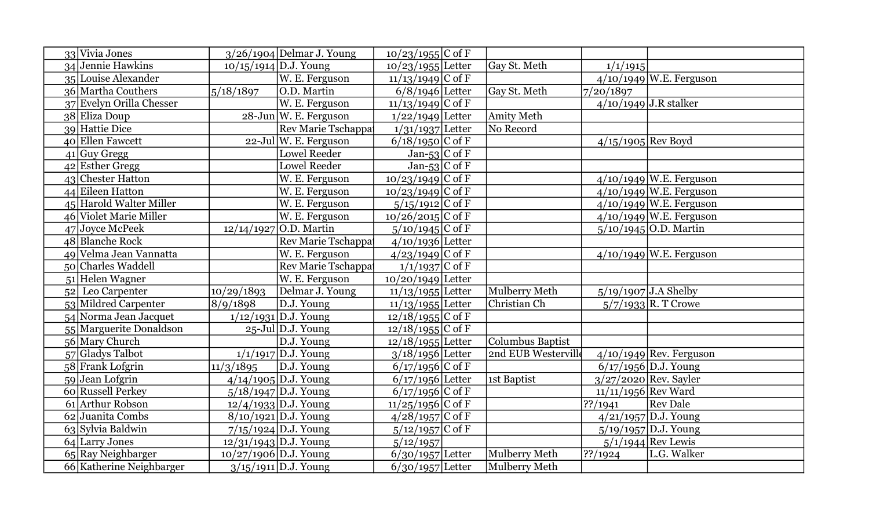| 33 Vivia Jones           |                         | $3/26/1904$ Delmar J. Young | $10/23/1955$ C of F |                         |                      |                           |
|--------------------------|-------------------------|-----------------------------|---------------------|-------------------------|----------------------|---------------------------|
| 34 Jennie Hawkins        |                         | $10/15/1914$ D.J. Young     | $10/23/1955$ Letter | Gay St. Meth            | 1/1/1915             |                           |
| 35 Louise Alexander      |                         | W. E. Ferguson              | $11/13/1949$ C of F |                         |                      | $4/10/1949$ W.E. Ferguson |
| 36 Martha Couthers       | 5/18/1897               | O.D. Martin                 | $6/8/1946$ Letter   | Gay St. Meth            | 7/20/1897            |                           |
| 37 Evelyn Orilla Chesser |                         | W. E. Ferguson              | $11/13/1949$ C of F |                         |                      | $4/10/1949$ J.R stalker   |
| 38 Eliza Doup            |                         | $28$ -Jun W. E. Ferguson    | $1/22/1949$ Letter  | Amity Meth              |                      |                           |
| 39 Hattie Dice           |                         | Rev Marie Tschappa          | $1/31/1937$ Letter  | No Record               |                      |                           |
| 40 Ellen Fawcett         |                         | $22$ -Jul W. E. Ferguson    | $6/18/1950$ C of F  |                         | $4/15/1905$ Rev Boyd |                           |
| $41$ Guy Gregg           |                         | <b>Lowel Reeder</b>         | $Jan-53$ C of F     |                         |                      |                           |
| $42$ Esther Gregg        |                         | <b>Lowel Reeder</b>         | Jan-53 C of F       |                         |                      |                           |
| 43 Chester Hatton        |                         | W. E. Ferguson              | $10/23/1949$ C of F |                         |                      | $4/10/1949$ W.E. Ferguson |
| 44 Eileen Hatton         |                         | W. E. Ferguson              | $10/23/1949$ C of F |                         |                      | $4/10/1949$ W.E. Ferguson |
| 45 Harold Walter Miller  |                         | W. E. Ferguson              | $5/15/1912$ C of F  |                         |                      | $4/10/1949$ W.E. Ferguson |
| 46 Violet Marie Miller   |                         | W. E. Ferguson              | $10/26/2015$ C of F |                         |                      | $4/10/1949$ W.E. Ferguson |
| 47 Joyce McPeek          |                         | 12/14/1927 O.D. Martin      | $5/10/1945$ C of F  |                         |                      | $5/10/1945$ O.D. Martin   |
| 48 Blanche Rock          |                         | Rev Marie Tschappa          | $4/10/1936$ Letter  |                         |                      |                           |
| 49 Velma Jean Vannatta   |                         | W. E. Ferguson              | $4/23/1949$ C of F  |                         |                      | $4/10/1949$ W.E. Ferguson |
| 50 Charles Waddell       |                         | Rev Marie Tschappa          | $1/1/1937$ C of F   |                         |                      |                           |
| 51 Helen Wagner          |                         | W. E. Ferguson              | $10/20/1949$ Letter |                         |                      |                           |
| 52 Leo Carpenter         | 10/29/1893              | Delmar J. Young             | $11/13/1955$ Letter | Mulberry Meth           |                      | $5/19/1907$ J.A Shelby    |
| 53 Mildred Carpenter     | 8/9/1898                | D.J. Young                  | $11/13/1955$ Letter | Christian Ch            |                      | $5/7/1933$ R. T Crowe     |
| 54 Norma Jean Jacquet    |                         | $1/12/1931$ D.J. Young      | $12/18/1955$ C of F |                         |                      |                           |
| 55 Marguerite Donaldson  |                         | $25$ -Jul D.J. Young        | $12/18/1955$ C of F |                         |                      |                           |
| 56 Mary Church           |                         | D.J. Young                  | $12/18/1955$ Letter | <b>Columbus Baptist</b> |                      |                           |
| 57 Gladys Talbot         |                         | $1/1/1917$ D.J. Young       | $3/18/1956$ Letter  | 2nd EUB Westerville     |                      | $4/10/1949$ Rev. Ferguson |
| 58 Frank Lofgrin         | 11/3/1895               | D.J. Young                  | $6/17/1956$ C of F  |                         |                      | $6/17/1956$ D.J. Young    |
| 59 Jean Lofgrin          |                         | $4/14/1905$ D.J. Young      | $6/17/1956$ Letter  | 1st Baptist             |                      | 3/27/2020 Rev. Sayler     |
| 60 Russell Perkey        |                         | $5/18/1947$ D.J. Young      | $6/17/1956$ C of F  |                         | 11/11/1956 Rev Ward  |                           |
| 61 Arthur Robson         |                         | $12/4/1933$ D.J. Young      | $11/25/1956$ C of F |                         | $\sqrt{?}$ ?/1941    | <b>Rev Dale</b>           |
| 62 Juanita Combs         |                         | $8/10/1921$ D.J. Young      | $4/28/1957$ C of F  |                         |                      | 4/21/1957 D.J. Young      |
| 63 Sylvia Baldwin        |                         | $7/15/1924$ D.J. Young      | $5/12/1957$ C of F  |                         |                      | $5/19/1957$ D.J. Young    |
| 64 Larry Jones           |                         | $12/31/1943$ D.J. Young     | 5/12/1957           |                         |                      | $5/1/1944$ Rev Lewis      |
| $65$ Ray Neighbarger     | $10/27/1906$ D.J. Young |                             | $6/30/1957$ Letter  | Mulberry Meth           | $\frac{22}{1924}$    | L.G. Walker               |
| 66 Katherine Neighbarger |                         | $3/15/1911$ D.J. Young      | $6/30/1957$ Letter  | Mulberry Meth           |                      |                           |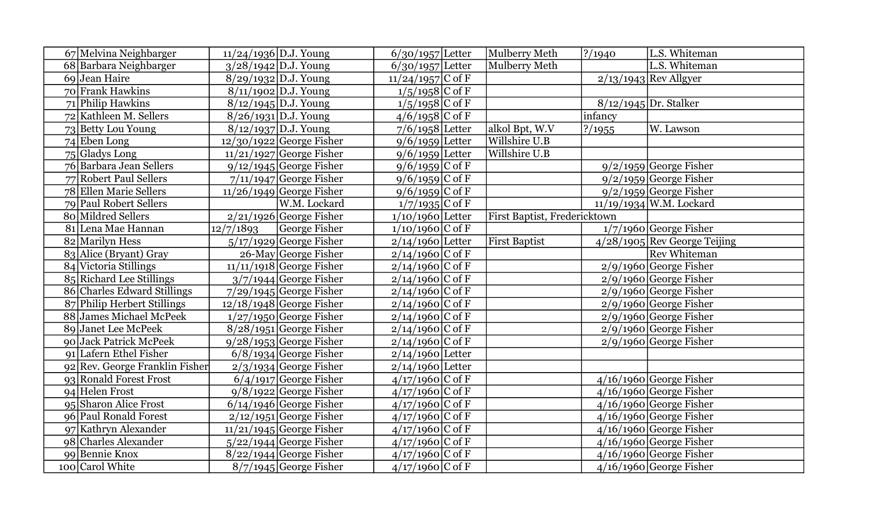| 67 Melvina Neighbarger         | $11/24/1936$ D.J. Young |                                   | $6/30/1957$ Letter            | Mulberry Meth                | ? / 1940 | L.S. Whiteman                  |
|--------------------------------|-------------------------|-----------------------------------|-------------------------------|------------------------------|----------|--------------------------------|
| 68 Barbara Neighbarger         |                         | $3/28/1942$ D.J. Young            | $\overline{6}/30/1957$ Letter | Mulberry Meth                |          | L.S. Whiteman                  |
| 69 Jean Haire                  |                         | $8/29/1932$ D.J. Young            | $11/24/1957$ C of F           |                              |          | $2/13/1943$ Rev Allgyer        |
| 70 Frank Hawkins               |                         | 8/11/1902 D.J. Young              | $1/5/1958$ C of F             |                              |          |                                |
| 71 Philip Hawkins              |                         | 8/12/1945 D.J. Young              | $1/5/1958$ C of F             |                              |          | 8/12/1945 Dr. Stalker          |
| 72 Kathleen M. Sellers         |                         | $8/26/1931$ D.J. Young            | $4/6/1958$ C of F             |                              | infancy  |                                |
| 73 Betty Lou Young             |                         | $8/12/1937$ D.J. Young            | $7/6/1958$ Letter             | alkol Bpt, W.V               | ? / 1955 | W. Lawson                      |
| $74$ Eben Long                 |                         | $12/30/1922$ George Fisher        | $9/6/1959$ Letter             | Willshire U.B                |          |                                |
| 75 Gladys Long                 |                         | $11/21/1927$ George Fisher        | $9/6/1959$ Letter             | Willshire U.B                |          |                                |
| 76 Barbara Jean Sellers        |                         | $9/12/1945$ George Fisher         | $9/6/1959$ C of F             |                              |          | $9/2/1959$ George Fisher       |
| 77 Robert Paul Sellers         |                         | $7/11/1947$ George Fisher         | $9/6/1959$ C of F             |                              |          | $9/2/1959$ George Fisher       |
| 78 Ellen Marie Sellers         |                         | $11/26/1949$ George Fisher        | $9/6/1959$ C of F             |                              |          | $9/2/1959$ George Fisher       |
| 79 Paul Robert Sellers         |                         | W.M. Lockard                      | $1/7/1935$ C of F             |                              |          | 11/19/1934 W.M. Lockard        |
| 80 Mildred Sellers             |                         | $2/21/1926$ George Fisher         | $1/10/1960$ Letter            | First Baptist, Fredericktown |          |                                |
| 81 Lena Mae Hannan             | 12/7/1893               | George Fisher                     | $1/10/1960$ C of F            |                              |          | $1/7/1960$ George Fisher       |
| 82 Marilyn Hess                |                         | $5/17/1929$ George Fisher         | $2/14/1960$ Letter            | <b>First Baptist</b>         |          | $4/28/1905$ Rev George Teijing |
| 83 Alice (Bryant) Gray         |                         | $26$ -May George Fisher           | $2/14/1960$ C of F            |                              |          | <b>Rev Whiteman</b>            |
| 84 Victoria Stillings          |                         | $\sqrt{11/11/1918}$ George Fisher | $2/14/1960$ C of F            |                              |          | $2/9/1960$ George Fisher       |
| 85 Richard Lee Stillings       |                         | $3/7/1944$ George Fisher          | $2/14/1960$ C of F            |                              |          | $2/9/1960$ George Fisher       |
| 86 Charles Edward Stillings    |                         | $7/29/1945$ George Fisher         | $2/14/1960$ C of F            |                              |          | $2/9/1960$ George Fisher       |
| 87 Philip Herbert Stillings    |                         | $12/18/1948$ George Fisher        | $2/14/1960$ C of F            |                              |          | $2/9/1960$ George Fisher       |
| 88 James Michael McPeek        |                         | $1/27/1950$ George Fisher         | $2/14/1960$ C of F            |                              |          | $2/9/1960$ George Fisher       |
| 89 Janet Lee McPeek            |                         | $8/28/1951$ George Fisher         | $2/14/1960$ C of F            |                              |          | $2/9/1960$ George Fisher       |
| 90 Jack Patrick McPeek         |                         | $9/28/1953$ George Fisher         | $2/14/1960$ C of F            |                              |          | $2/9/1960$ George Fisher       |
| 91 Lafern Ethel Fisher         |                         | $6/8/1934$ George Fisher          | $2/14/1960$ Letter            |                              |          |                                |
| 92 Rev. George Franklin Fisher |                         | $2/3/1934$ George Fisher          | $2/14/1960$ Letter            |                              |          |                                |
| 93 Ronald Forest Frost         |                         | $6/4/1917$ George Fisher          | $4/17/1960$ C of F            |                              |          | $4/16/1960$ George Fisher      |
| 94 Helen Frost                 |                         | $9/8/1922$ George Fisher          | $4/17/1960$ C of F            |                              |          | $4/16/1960$ George Fisher      |
| 95 Sharon Alice Frost          |                         | $6/14/1946$ George Fisher         | $4/17/1960$ C of F            |                              |          | $4/16/1960$ George Fisher      |
| 96 Paul Ronald Forest          |                         | $2/12/1951$ George Fisher         | $4/17/1960$ C of F            |                              |          | $4/16/1960$ George Fisher      |
| 97 Kathryn Alexander           |                         | $11/21/1945$ George Fisher        | $4/17/1960$ C of F            |                              |          | $4/16/1960$ George Fisher      |
| 98 Charles Alexander           |                         | $5/22/1944$ George Fisher         | $4/17/1960$ C of F            |                              |          | $4/16/1960$ George Fisher      |
| 99 Bennie Knox                 |                         | $8/22/1944$ George Fisher         | $4/17/1960$ C of F            |                              |          | $4/16/1960$ George Fisher      |
| 100 Carol White                |                         | 8/7/1945 George Fisher            | $4/17/1960$ C of F            |                              |          | $4/16/1960$ George Fisher      |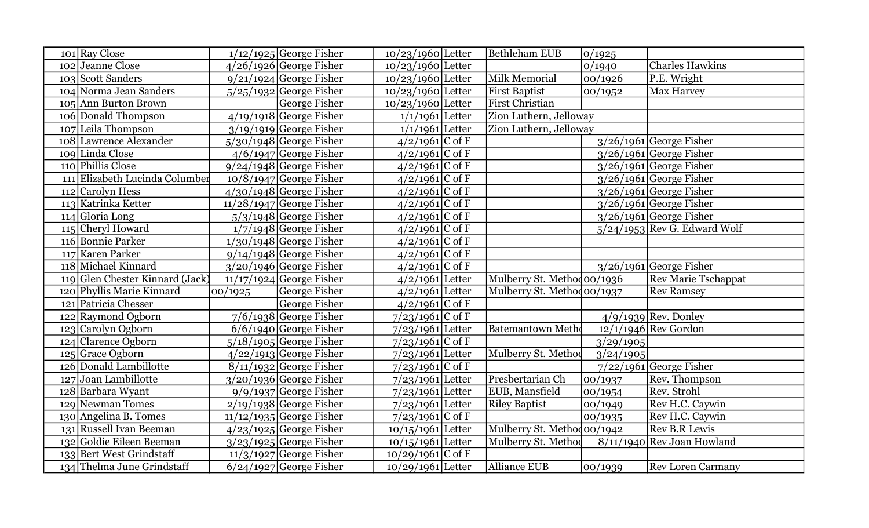| 101 Ray Close                   |         | $1/12/1925$ George Fisher  | $10/23/1960$ Letter | <b>Bethleham EUB</b>       | 0/1925    |                                |
|---------------------------------|---------|----------------------------|---------------------|----------------------------|-----------|--------------------------------|
| 102 Jeanne Close                |         | $4/26/1926$ George Fisher  | $10/23/1960$ Letter |                            | 0/1940    | <b>Charles Hawkins</b>         |
| 103 Scott Sanders               |         | $9/21/1924$ George Fisher  | $10/23/1960$ Letter | Milk Memorial              | 00/1926   | P.E. Wright                    |
| 104 Norma Jean Sanders          |         | $5/25/1932$ George Fisher  | $10/23/1960$ Letter | <b>First Baptist</b>       | 00/1952   | Max Harvey                     |
| 105 Ann Burton Brown            |         | George Fisher              | $10/23/1960$ Letter | First Christian            |           |                                |
| 106 Donald Thompson             |         | $4/19/1918$ George Fisher  | $1/1/1961$ Letter   | Zion Luthern, Jelloway     |           |                                |
| 107 Leila Thompson              |         | $3/19/1919$ George Fisher  | $1/1/1961$ Letter   | Zion Luthern, Jelloway     |           |                                |
| 108 Lawrence Alexander          |         | $5/30/1948$ George Fisher  | $4/2/1961$ C of F   |                            |           | $3/26/1961$ George Fisher      |
| 109 Linda Close                 |         | $4/6/1947$ George Fisher   | $4/2/1961$ C of F   |                            |           | $3/26/1961$ George Fisher      |
| 110 Phillis Close               |         | $9/24/1948$ George Fisher  | $4/2/1961$ C of F   |                            |           | $3/26/1961$ George Fisher      |
| 111 Elizabeth Lucinda Columber  |         | $10/8/1947$ George Fisher  | $4/2/1961$ C of F   |                            |           | $3/26/1961$ George Fisher      |
| $112$ Carolyn Hess              |         | $4/30/1948$ George Fisher  | $4/2/1961$ C of F   |                            |           | $3/26/1961$ George Fisher      |
| 113 Katrinka Ketter             |         | $11/28/1947$ George Fisher | $4/2/1961$ C of F   |                            |           | $3/26/1961$ George Fisher      |
| $114$ Gloria Long               |         | $5/3/1948$ George Fisher   | $4/2/1961$ C of F   |                            |           | $3/26/1961$ George Fisher      |
| 115 Cheryl Howard               |         | $1/7/1948$ George Fisher   | $4/2/1961$ C of F   |                            |           | $5/24/1953$ Rev G. Edward Wolf |
| 116 Bonnie Parker               |         | $1/30/1948$ George Fisher  | $4/2/1961$ C of F   |                            |           |                                |
| 117 Karen Parker                |         | $9/14/1948$ George Fisher  | $4/2/1961$ C of F   |                            |           |                                |
| 118 Michael Kinnard             |         | $3/20/1946$ George Fisher  | $4/2/1961$ C of F   |                            |           | $3/26/1961$ George Fisher      |
| 119 Glen Chester Kinnard (Jack) |         | $11/17/1924$ George Fisher | $4/2/1961$ Letter   | Mulberry St. Methodoo/1936 |           | <b>Rev Marie Tschappat</b>     |
| 120 Phyllis Marie Kinnard       | 00/1925 | <b>George Fisher</b>       | $4/2/1961$ Letter   | Mulberry St. Methodoo/1937 |           | <b>Rev Ramsey</b>              |
| 121 Patricia Chesser            |         | George Fisher              | $4/2/1961$ C of F   |                            |           |                                |
| 122 Raymond Ogborn              |         | $7/6/1938$ George Fisher   | $7/23/1961$ C of F  |                            |           | $4/9/1939$ Rev. Donley         |
| 123 Carolyn Ogborn              |         | $6/6/1940$ George Fisher   | $7/23/1961$ Letter  | <b>Batemantown Metho</b>   |           | $12/1/1946$ Rev Gordon         |
| 124 Clarence Ogborn             |         | $5/18/1905$ George Fisher  | $7/23/1961$ C of F  |                            | 3/29/1905 |                                |
| 125 Grace Ogborn                |         | $4/22/1913$ George Fisher  | $7/23/1961$ Letter  | Mulberry St. Method        | 3/24/1905 |                                |
| 126 Donald Lambillotte          |         | $8/11/1932$ George Fisher  | $7/23/1961$ C of F  |                            |           | $7/22/1961$ George Fisher      |
| 127 Joan Lambillotte            |         | $3/20/1936$ George Fisher  | $7/23/1961$ Letter  | Presbertarian Ch           | 00/1937   | Rev. Thompson                  |
| 128 Barbara Wyant               |         | $9/9/1937$ George Fisher   | $7/23/1961$ Letter  | EUB, Mansfield             | 00/1954   | Rev. Strohl                    |
| 129 Newman Tomes                |         | $2/19/1938$ George Fisher  | $7/23/1961$ Letter  | <b>Riley Baptist</b>       | 00/1949   | Rev H.C. Caywin                |
| 130 Angelina B. Tomes           |         | $11/12/1935$ George Fisher | $7/23/1961$ C of F  |                            | 00/1935   | Rev H.C. Caywin                |
| 131 Russell Ivan Beeman         |         | $4/23/1925$ George Fisher  | $10/15/1961$ Letter | Mulberry St. Methodoo/1942 |           | <b>Rev B.R Lewis</b>           |
| 132 Goldie Eileen Beeman        |         | $3/23/1925$ George Fisher  | $10/15/1961$ Letter | Mulberry St. Method        |           | $8/11/1940$ Rev Joan Howland   |
| 133 Bert West Grindstaff        |         | $11/3/1927$ George Fisher  | $10/29/1961$ C of F |                            |           |                                |
| 134 Thelma June Grindstaff      |         | $6/24/1927$ George Fisher  | $10/29/1961$ Letter | <b>Alliance EUB</b>        | 00/1939   | <b>Rev Loren Carmany</b>       |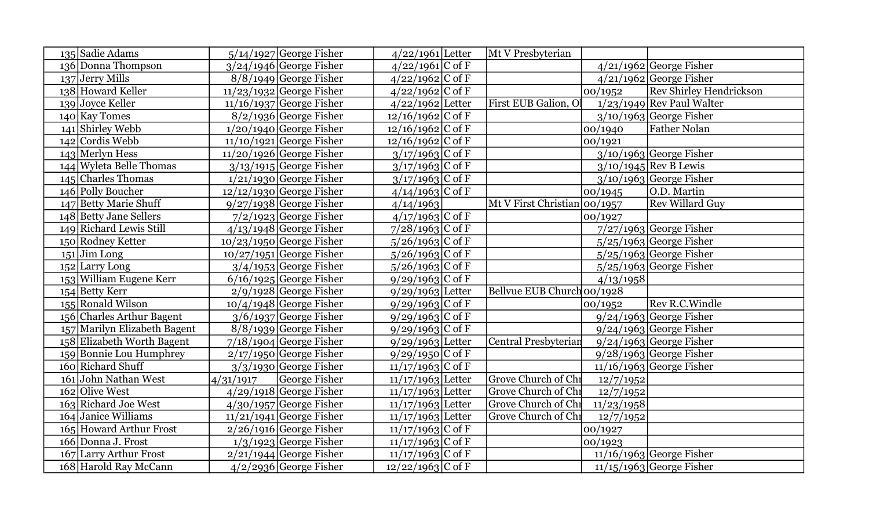| 135 Sadie Adams                  |           | $5/14/1927$ George Fisher  | $4/22/1961$ Letter  | Mt V Presbyterian            |            |                                |
|----------------------------------|-----------|----------------------------|---------------------|------------------------------|------------|--------------------------------|
| 136 Donna Thompson               |           | $3/24/1946$ George Fisher  | $4/22/1961$ C of F  |                              |            | $4/21/1962$ George Fisher      |
| $137$ Jerry Mills                |           | $8/8/1949$ George Fisher   | $4/22/1962$ C of F  |                              |            | $4/21/1962$ George Fisher      |
| 138 Howard Keller                |           | $11/23/1932$ George Fisher | $4/22/1962$ C of F  |                              | 00/1952    | <b>Rev Shirley Hendrickson</b> |
| 139 Joyce Keller                 |           | $11/16/1937$ George Fisher | $4/22/1962$ Letter  | First EUB Galion, Ol         |            | $1/23/1949$ Rev Paul Walter    |
| $140$ Kay Tomes                  |           | $8/2/1936$ George Fisher   | $12/16/1962$ C of F |                              |            | $3/10/1963$ George Fisher      |
| 141 Shirley Webb                 |           | $1/20/1940$ George Fisher  | $12/16/1962$ C of F |                              | 00/1940    | <b>Father Nolan</b>            |
| $142$ Cordis Webb                |           | $11/10/1921$ George Fisher | $12/16/1962$ C of F |                              | 00/1921    |                                |
| $143$ Merlyn Hess                |           | $11/20/1926$ George Fisher | $3/17/1963$ C of F  |                              |            | $3/10/1963$ George Fisher      |
| 144 Wyleta Belle Thomas          |           | $3/13/1915$ George Fisher  | $3/17/1963$ C of F  |                              |            | $3/10/1945$ Rev B Lewis        |
| 145 Charles Thomas               |           | $1/21/1930$ George Fisher  | $3/17/1963$ C of F  |                              |            | $3/10/1963$ George Fisher      |
| 146 Polly Boucher                |           | $12/12/1930$ George Fisher | $4/14/1963$ C of F  |                              | 00/1945    | O.D. Martin                    |
| 147 Betty Marie Shuff            |           | $9/27/1938$ George Fisher  | 4/14/1963           | Mt V First Christian 00/1957 |            | <b>Rev Willard Guy</b>         |
| 148 Betty Jane Sellers           |           | $7/2/1923$ George Fisher   | $4/17/1963$ C of F  |                              | 00/1927    |                                |
| 149 Richard Lewis Still          |           | $4/13/1948$ George Fisher  | $7/28/1963$ C of F  |                              |            | $7/27/1963$ George Fisher      |
| 150 Rodney Ketter                |           | $10/23/1950$ George Fisher | $5/26/1963$ C of F  |                              |            | $5/25/1963$ George Fisher      |
| $151$ Jim Long                   |           | $10/27/1951$ George Fisher | $5/26/1963$ C of F  |                              |            | $5/25/1963$ George Fisher      |
| $152$ Larry Long                 |           | $3/4/1953$ George Fisher   | $5/26/1963$ C of F  |                              |            | $5/25/1963$ George Fisher      |
| 153 William Eugene Kerr          |           | $6/16/1925$ George Fisher  | $9/29/1963$ C of F  |                              | 4/13/1958  |                                |
| 154 Betty Kerr                   |           | $2/9/1928$ George Fisher   | 9/29/1963 Letter    | Bellvue EUB Church 00/1928   |            |                                |
| 155 Ronald Wilson                |           | $10/4/1948$ George Fisher  | $9/29/1963$ C of F  |                              | 00/1952    | Rev R.C. Windle                |
| 156 Charles Arthur Bagent        |           | $3/6/1937$ George Fisher   | $9/29/1963$ C of F  |                              |            | $9/24/1963$ George Fisher      |
| 157 Marilyn Elizabeth Bagent     |           | $8/8/1939$ George Fisher   | $9/29/1963$ C of F  |                              |            | $9/24/1963$ George Fisher      |
| 158 Elizabeth Worth Bagent       |           | $7/18/1904$ George Fisher  | $9/29/1963$ Letter  | Central Presbyterian         |            | $9/24/1963$ George Fisher      |
| 159 Bonnie Lou Humphrey          |           | $2/17/1950$ George Fisher  | $9/29/1950$ C of F  |                              |            | $9/28/1963$ George Fisher      |
| 160 Richard Shuff                |           | $3/3/1930$ George Fisher   | $11/17/1963$ C of F |                              |            | $11/16/1963$ George Fisher     |
| 161 John Nathan West             | 4/31/1917 | George Fisher              | $11/17/1963$ Letter | Grove Church of Chr          | 12/7/1952  |                                |
| 162 Olive West                   |           | $4/29/1918$ George Fisher  | $11/17/1963$ Letter | Grove Church of Chr          | 12/7/1952  |                                |
| 163 Richard Joe West             |           | $4/30/1957$ George Fisher  | $11/17/1963$ Letter | Grove Church of Chr          | 11/23/1958 |                                |
| 164 Janice Williams              |           | $11/21/1941$ George Fisher | $11/17/1963$ Letter | Grove Church of Chr          | 12/7/1952  |                                |
| 165 Howard Arthur Frost          |           | $2/26/1916$ George Fisher  | $11/17/1963$ C of F |                              | 00/1927    |                                |
| 166 Donna J. Frost               |           | $1/3/1923$ George Fisher   | $11/17/1963$ C of F |                              | 00/1923    |                                |
| <b>Larry Arthur Frost</b><br>167 |           | $2/21/1944$ George Fisher  | $11/17/1963$ C of F |                              |            | $11/16/1963$ George Fisher     |
| 168 Harold Ray McCann            |           | $4/2/2936$ George Fisher   | $12/22/1963$ C of F |                              |            | $11/15/1963$ George Fisher     |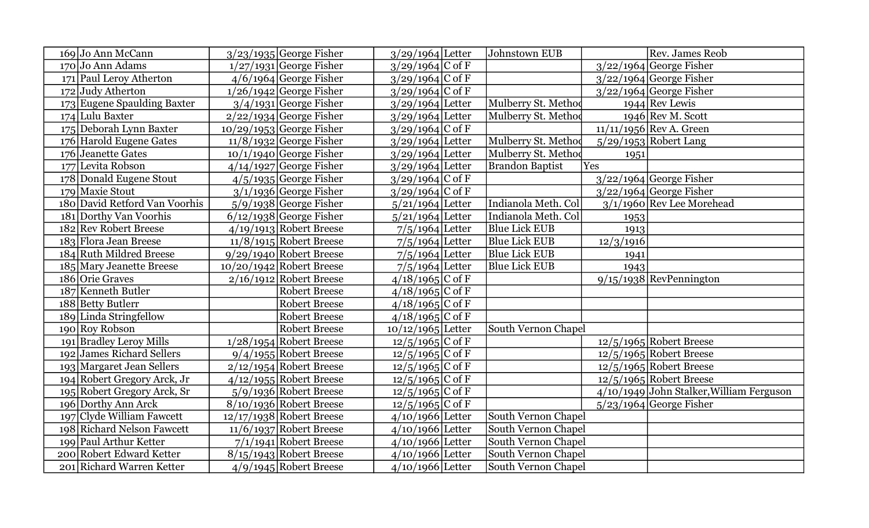| 169 Jo Ann McCann             | $3/23/1935$ George Fisher  | $3/29/1964$ Letter  | Johnstown EUB          |           | Rev. James Reob                            |
|-------------------------------|----------------------------|---------------------|------------------------|-----------|--------------------------------------------|
| $170$ Jo Ann Adams            | $1/27/1931$ George Fisher  | $3/29/1964$ C of F  |                        |           | $3/22/1964$ George Fisher                  |
| 171 Paul Leroy Atherton       | $4/6/1964$ George Fisher   | $3/29/1964$ C of F  |                        |           | $3/22/1964$ George Fisher                  |
| 172 Judy Atherton             | $1/26/1942$ George Fisher  | $3/29/1964$ C of F  |                        |           | $3/22/1964$ George Fisher                  |
| 173 Eugene Spaulding Baxter   | $3/4/1931$ George Fisher   | $3/29/1964$ Letter  | Mulberry St. Method    |           | $1944$ Rev Lewis                           |
| 174 Lulu Baxter               | $2/22/1934$ George Fisher  | $3/29/1964$ Letter  | Mulberry St. Method    |           | 1946 Rev M. Scott                          |
| 175 Deborah Lynn Baxter       | $10/29/1953$ George Fisher | $3/29/1964$ C of F  |                        |           | $11/11/1956$ Rev A. Green                  |
| 176 Harold Eugene Gates       | $11/8/1932$ George Fisher  | $3/29/1964$ Letter  | Mulberry St. Method    |           | 5/29/1953 Robert Lang                      |
| 176 Jeanette Gates            | $10/1/1940$ George Fisher  | $3/29/1964$ Letter  | Mulberry St. Method    | 1951      |                                            |
| 177 Levita Robson             | $4/14/1927$ George Fisher  | $3/29/1964$ Letter  | <b>Brandon Baptist</b> | Yes       |                                            |
| 178 Donald Eugene Stout       | $4/5/1935$ George Fisher   | $3/29/1964$ C of F  |                        |           | $3/22/1964$ George Fisher                  |
| 179 Maxie Stout               | $3/1/1936$ George Fisher   | $3/29/1964$ C of F  |                        |           | $3/22/1964$ George Fisher                  |
| 180 David Retford Van Voorhis | $5/9/1938$ George Fisher   | $5/21/1964$ Letter  | Indianola Meth. Col    |           | 3/1/1960 Rev Lee Morehead                  |
| 181 Dorthy Van Voorhis        | $6/12/1938$ George Fisher  | $5/21/1964$ Letter  | Indianola Meth. Col    | 1953      |                                            |
| 182 Rev Robert Breese         | $4/19/1913$ Robert Breese  | $7/5/1964$ Letter   | <b>Blue Lick EUB</b>   | 1913      |                                            |
| 183 Flora Jean Breese         | $11/8/1915$ Robert Breese  | $7/5/1964$ Letter   | <b>Blue Lick EUB</b>   | 12/3/1916 |                                            |
| 184 Ruth Mildred Breese       | $9/29/1940$ Robert Breese  | $7/5/1964$ Letter   | <b>Blue Lick EUB</b>   | 1941      |                                            |
| 185 Mary Jeanette Breese      | $10/20/1942$ Robert Breese | $7/5/1964$ Letter   | <b>Blue Lick EUB</b>   | 1943      |                                            |
| 186 Orie Graves               | $2/16/1912$ Robert Breese  | $4/18/1965$ C of F  |                        |           | $9/15/1938$ RevPennington                  |
| 187 Kenneth Butler            | <b>Robert Breese</b>       | $4/18/1965$ C of F  |                        |           |                                            |
| 188 Betty Butlerr             | <b>Robert Breese</b>       | $4/18/1965$ C of F  |                        |           |                                            |
| 189 Linda Stringfellow        | <b>Robert Breese</b>       | $4/18/1965$ C of F  |                        |           |                                            |
| 190 Roy Robson                | <b>Robert Breese</b>       | $10/12/1965$ Letter | South Vernon Chapel    |           |                                            |
| 191 Bradley Leroy Mills       | 1/28/1954 Robert Breese    | $12/5/1965$ C of F  |                        |           | $12/5/1965$ Robert Breese                  |
| 192 James Richard Sellers     | $9/4/1955$ Robert Breese   | $12/5/1965$ C of F  |                        |           | $12/5/1965$ Robert Breese                  |
| 193 Margaret Jean Sellers     | $2/12/1954$ Robert Breese  | $12/5/1965$ C of F  |                        |           | $12/5/1965$ Robert Breese                  |
| 194 Robert Gregory Arck, Jr   | $4/12/1955$ Robert Breese  | $12/5/1965$ C of F  |                        |           | $12/5/1965$ Robert Breese                  |
| 195 Robert Gregory Arck, Sr   | $5/9/1936$ Robert Breese   | $12/5/1965$ C of F  |                        |           | $4/10/1949$ John Stalker, William Ferguson |
| 196 Dorthy Ann Arck           | $8/10/1936$ Robert Breese  | $12/5/1965$ C of F  |                        |           | $5/23/1964$ George Fisher                  |
| 197 Clyde William Fawcett     | $12/17/1938$ Robert Breese | $4/10/1966$ Letter  | South Vernon Chapel    |           |                                            |
| 198 Richard Nelson Fawcett    | $11/6/1937$ Robert Breese  | $4/10/1966$ Letter  | South Vernon Chapel    |           |                                            |
| 199 Paul Arthur Ketter        | $7/1/1941$ Robert Breese   | $4/10/1966$ Letter  | South Vernon Chapel    |           |                                            |
| 200 Robert Edward Ketter      | $8/15/1943$ Robert Breese  | $4/10/1966$ Letter  | South Vernon Chapel    |           |                                            |
| 201 Richard Warren Ketter     | $4/9/1945$ Robert Breese   | $4/10/1966$ Letter  | South Vernon Chapel    |           |                                            |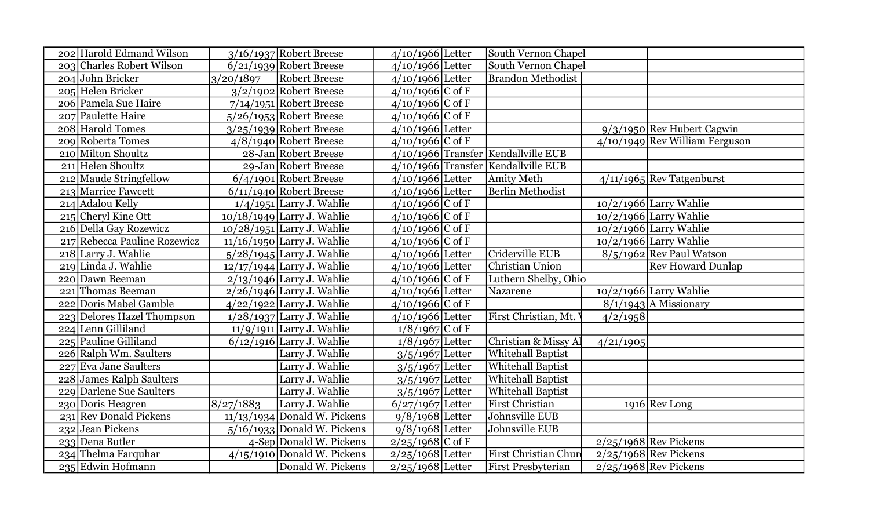| 202 Harold Edmand Wilson      |           | $3/16/1937$ Robert Breese     | $4/10/1966$ Letter | South Vernon Chapel                   |           |                                |
|-------------------------------|-----------|-------------------------------|--------------------|---------------------------------------|-----------|--------------------------------|
| 203 Charles Robert Wilson     |           | $6/21/1939$ Robert Breese     | $4/10/1966$ Letter | South Vernon Chapel                   |           |                                |
| 204 John Bricker              | 3/20/1897 | Robert Breese                 | $4/10/1966$ Letter | <b>Brandon Methodist</b>              |           |                                |
| 205 Helen Bricker             |           | $3/2/1902$ Robert Breese      | $4/10/1966$ C of F |                                       |           |                                |
| 206 Pamela Sue Haire          |           | $7/14/1951$ Robert Breese     | $4/10/1966$ C of F |                                       |           |                                |
| 207 Paulette Haire            |           | $5/26/1953$ Robert Breese     | $4/10/1966$ C of F |                                       |           |                                |
| 208 Harold Tomes              |           | $3/25/1939$ Robert Breese     | 4/10/1966 Letter   |                                       |           | 9/3/1950 Rev Hubert Cagwin     |
| 209 Roberta Tomes             |           | $4/8/1940$ Robert Breese      | $4/10/1966$ C of F |                                       |           | 4/10/1949 Rev William Ferguson |
| 210 Milton Shoultz            |           | 28-Jan Robert Breese          |                    | 4/10/1966 Transfer   Kendallville EUB |           |                                |
| 211 Helen Shoultz             |           | 29-Jan Robert Breese          |                    | $4/10/1966$ Transfer Kendallville EUB |           |                                |
| 212 Maude Stringfellow        |           | $6/4/1901$ Robert Breese      | $4/10/1966$ Letter | <b>Amity Meth</b>                     |           | $4/11/1965$ Rev Tatgenburst    |
| 213 Marrice Fawcett           |           | $6/11/1940$ Robert Breese     | $4/10/1966$ Letter | <b>Berlin Methodist</b>               |           |                                |
| $214$ Adalou Kelly            |           | $1/4/1951$ Larry J. Wahlie    | $4/10/1966$ C of F |                                       |           | $10/2/1966$ Larry Wahlie       |
| 215 Cheryl Kine Ott           |           | $10/18/1949$ Larry J. Wahlie  | $4/10/1966$ C of F |                                       |           | $10/2/1966$ Larry Wahlie       |
| 216 Della Gay Rozewicz        |           | $10/28/1951$ Larry J. Wahlie  | $4/10/1966$ C of F |                                       |           | 10/2/1966 Larry Wahlie         |
| 217 Rebecca Pauline Rozewicz  |           | $11/16/1950$ Larry J. Wahlie  | $4/10/1966$ C of F |                                       |           | $10/2/1966$ Larry Wahlie       |
| 218 Larry J. Wahlie           |           | $5/28/1945$ Larry J. Wahlie   | 4/10/1966 Letter   | Criderville EUB                       |           | $8/5/1962$ Rev Paul Watson     |
| 219 Linda J. Wahlie           |           | $12/17/1944$ Larry J. Wahlie  | $4/10/1966$ Letter | Christian Union                       |           | <b>Rev Howard Dunlap</b>       |
| 220 Dawn Beeman               |           | $2/13/1946$ Larry J. Wahlie   | $4/10/1966$ C of F | Luthern Shelby, Ohio                  |           |                                |
| 221 Thomas Beeman             |           | $2/26/1946$ Larry J. Wahlie   | $4/10/1966$ Letter | Nazarene                              |           | 10/2/1966 Larry Wahlie         |
| 222 Doris Mabel Gamble        |           | $4/22/1922$ Larry J. Wahlie   | $4/10/1966$ C of F |                                       |           | $8/1/1943$ A Missionary        |
| Delores Hazel Thompson<br>223 |           | $1/28/1937$ Larry J. Wahlie   | 4/10/1966 Letter   | First Christian, Mt.                  | 4/2/1958  |                                |
| Lenn Gilliland<br>224         |           | $11/9/1911$ Larry J. Wahlie   | $1/8/1967$ C of F  |                                       |           |                                |
| 225 Pauline Gilliland         |           | $6/12/1916$ Larry J. Wahlie   | $1/8/1967$ Letter  | Christian & Missy Al                  | 4/21/1905 |                                |
| 226 Ralph Wm. Saulters        |           | Larry J. Wahlie               | $3/5/1967$ Letter  | <b>Whitehall Baptist</b>              |           |                                |
| 227 Eva Jane Saulters         |           | Larry J. Wahlie               | $3/5/1967$ Letter  | <b>Whitehall Baptist</b>              |           |                                |
| 228 James Ralph Saulters      |           | Larry J. Wahlie               | $3/5/1967$ Letter  | <b>Whitehall Baptist</b>              |           |                                |
| 229 Darlene Sue Saulters      |           | Larry J. Wahlie               | $3/5/1967$ Letter  | Whitehall Baptist                     |           |                                |
| 230 Doris Heagren             | 8/27/1883 | Larry J. Wahlie               | $6/27/1967$ Letter | First Christian                       |           | $1916$ Rev Long                |
| 231 Rev Donald Pickens        |           | 11/13/1934 Donald W. Pickens  | $9/8/1968$ Letter  | Johnsville EUB                        |           |                                |
| 232 Jean Pickens              |           | $5/16/1933$ Donald W. Pickens | $9/8/1968$ Letter  | Johnsville EUB                        |           |                                |
| 233 Dena Butler               |           | 4-Sep Donald W. Pickens       | $2/25/1968$ C of F |                                       |           | $2/25/1968$ Rev Pickens        |
| 234 Thelma Farquhar           |           | $4/15/1910$ Donald W. Pickens | $2/25/1968$ Letter | <b>First Christian Chure</b>          |           | $2/25/1968$ Rev Pickens        |
| 235 Edwin Hofmann             |           | Donald W. Pickens             | $2/25/1968$ Letter | <b>First Presbyterian</b>             |           | $2/25/1968$ Rev Pickens        |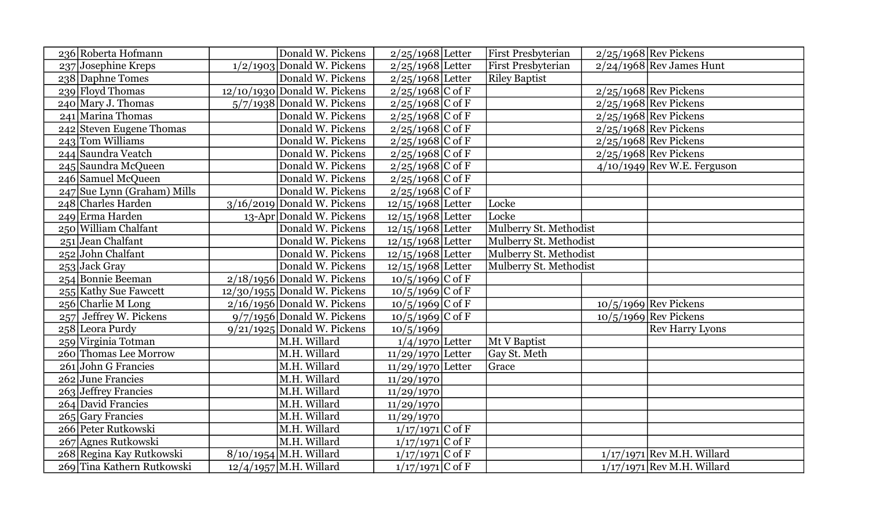| 236 Roberta Hofmann         | Donald W. Pickens              | $2/25/1968$ Letter  | <b>First Presbyterian</b> | $2/25/1968$ Rev Pickens       |
|-----------------------------|--------------------------------|---------------------|---------------------------|-------------------------------|
| 237 Josephine Kreps         | $1/2/1903$ Donald W. Pickens   | $2/25/1968$ Letter  | <b>First Presbyterian</b> | $2/24/1968$ Rev James Hunt    |
| 238 Daphne Tomes            | Donald W. Pickens              | $2/25/1968$ Letter  | <b>Riley Baptist</b>      |                               |
| 239 Floyd Thomas            | $12/10/1930$ Donald W. Pickens | $2/25/1968$ C of F  |                           | $2/25/1968$ Rev Pickens       |
| $240$ Mary J. Thomas        | $5/7/1938$ Donald W. Pickens   | $2/25/1968$ C of F  |                           | $2/25/1968$ Rev Pickens       |
| 241 Marina Thomas           | Donald W. Pickens              | $2/25/1968$ C of F  |                           | $2/25/1968$ Rev Pickens       |
| 242 Steven Eugene Thomas    | Donald W. Pickens              | $2/25/1968$ C of F  |                           | $2/25/1968$ Rev Pickens       |
| 243 Tom Williams            | Donald W. Pickens              | $2/25/1968$ C of F  |                           | $2/25/1968$ Rev Pickens       |
| 244 Saundra Veatch          | Donald W. Pickens              | $2/25/1968$ C of F  |                           | $2/25/1968$ Rev Pickens       |
| 245 Saundra McQueen         | Donald W. Pickens              | $2/25/1968$ C of F  |                           | $4/10/1949$ Rev W.E. Ferguson |
| 246 Samuel McQueen          | Donald W. Pickens              | $2/25/1968$ C of F  |                           |                               |
| 247 Sue Lynn (Graham) Mills | Donald W. Pickens              | $2/25/1968$ C of F  |                           |                               |
| 248 Charles Harden          | $3/16/2019$ Donald W. Pickens  | $12/15/1968$ Letter | Locke                     |                               |
| 249 Erma Harden             | 13-Apr Donald W. Pickens       | $12/15/1968$ Letter | Locke                     |                               |
| 250 William Chalfant        | Donald W. Pickens              | $12/15/1968$ Letter | Mulberry St. Methodist    |                               |
| 251 Jean Chalfant           | Donald W. Pickens              | $12/15/1968$ Letter | Mulberry St. Methodist    |                               |
| $252$ John Chalfant         | Donald W. Pickens              | $12/15/1968$ Letter | Mulberry St. Methodist    |                               |
| 253 Jack Gray               | Donald W. Pickens              | $12/15/1968$ Letter | Mulberry St. Methodist    |                               |
| 254 Bonnie Beeman           | $2/18/1956$ Donald W. Pickens  | $10/5/1969$ C of F  |                           |                               |
| 255 Kathy Sue Fawcett       | $12/30/1955$ Donald W. Pickens | $10/5/1969$ C of F  |                           |                               |
| $256$ Charlie M Long        | $2/16/1956$ Donald W. Pickens  | $10/5/1969$ C of F  |                           | $10/5/1969$ Rev Pickens       |
| 257 Jeffrey W. Pickens      | $9/7/1956$ Donald W. Pickens   | $10/5/1969$ C of F  |                           | $10/5/1969$ Rev Pickens       |
| 258 Leora Purdy             | $9/21/1925$ Donald W. Pickens  | 10/5/1969           |                           | <b>Rev Harry Lyons</b>        |
| 259 Virginia Totman         | M.H. Willard                   | $1/4/1970$ Letter   | Mt V Baptist              |                               |
| 260 Thomas Lee Morrow       | M.H. Willard                   | $11/29/1970$ Letter | Gay St. Meth              |                               |
| $261$ John G Francies       | M.H. Willard                   | $11/29/1970$ Letter | Grace                     |                               |
| 262 June Francies           | M.H. Willard                   | 11/29/1970          |                           |                               |
| $263$ Jeffrey Francies      | M.H. Willard                   | 11/29/1970          |                           |                               |
| 264 David Francies          | M.H. Willard                   | 11/29/1970          |                           |                               |
| $265$ Gary Francies         | M.H. Willard                   | 11/29/1970          |                           |                               |
| 266 Peter Rutkowski         | M.H. Willard                   | $1/17/1971$ C of F  |                           |                               |
| 267 Agnes Rutkowski         | M.H. Willard                   | $1/17/1971$ C of F  |                           |                               |
| 268 Regina Kay Rutkowski    | 8/10/1954 M.H. Willard         | $1/17/1971$ C of F  |                           | $1/17/1971$ Rev M.H. Willard  |
| 269 Tina Kathern Rutkowski  | $12/4/1957$ M.H. Willard       | $1/17/1971$ C of F  |                           | $1/17/1971$ Rev M.H. Willard  |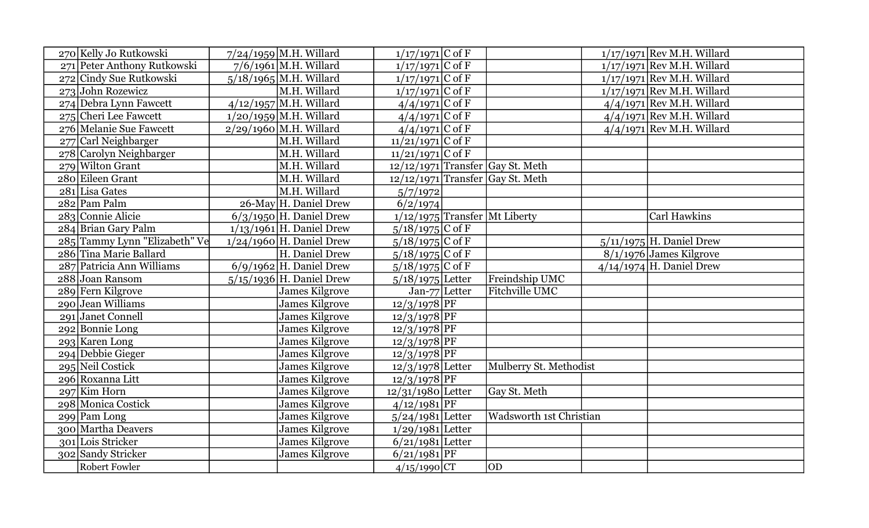| 270 Kelly Jo Rutkowski        | $7/24/1959$ M.H. Willard   | $1/17/1971$ C of F  |                                           | $1/17/1971$ Rev M.H. Willard     |
|-------------------------------|----------------------------|---------------------|-------------------------------------------|----------------------------------|
| 271 Peter Anthony Rutkowski   | $7/6/1961$ M.H. Willard    | $1/17/1971$ C of F  |                                           | $1/17/1971$ Rev M.H. Willard     |
| 272 Cindy Sue Rutkowski       | $5/18/1965$ M.H. Willard   | $1/17/1971$ C of F  |                                           | $1/17/1971$ Rev M.H. Willard     |
| 273 John Rozewicz             | M.H. Willard               | $1/17/1971$ C of F  |                                           | $1/17/1971$ Rev M.H. Willard     |
| 274 Debra Lynn Fawcett        | 4/12/1957 M.H. Willard     | $4/4/1971$ C of F   |                                           | $4/4/1971$ Rev M.H. Willard      |
| 275 Cheri Lee Fawcett         | $1/20/1959$ M.H. Willard   | $4/4/1971$ C of F   |                                           | $4/4/1971$ Rev M.H. Willard      |
| 276 Melanie Sue Fawcett       | $2/29/1960$ M.H. Willard   | $4/4/1971$ C of F   |                                           | $4/4/1971$ Rev M.H. Willard      |
| 277 Carl Neighbarger          | M.H. Willard               | $11/21/1971$ C of F |                                           |                                  |
| 278 Carolyn Neighbarger       | M.H. Willard               | $11/21/1971$ C of F |                                           |                                  |
| 279 Wilton Grant              | M.H. Willard               |                     | $\sqrt{12/12/1971}$ Transfer Gay St. Meth |                                  |
| 280 Eileen Grant              | M.H. Willard               |                     | $12/12/1971$ Transfer Gay St. Meth        |                                  |
| 281 Lisa Gates                | M.H. Willard               | 5/7/1972            |                                           |                                  |
| 282 Pam Palm                  | 26-May H. Daniel Drew      | 6/2/1974            |                                           |                                  |
| 283 Connie Alicie             | $6/3/1950$ H. Daniel Drew  |                     | 1/12/1975 Transfer Mt Liberty             | Carl Hawkins                     |
| 284 Brian Gary Palm           | $1/13/1961$ H. Daniel Drew | $5/18/1975$ C of F  |                                           |                                  |
| 285 Tammy Lynn "Elizabeth" Ve | $1/24/1960$ H. Daniel Drew | $5/18/1975$ C of F  |                                           | $5/11/1975$ H. Daniel Drew       |
| 286 Tina Marie Ballard        | H. Daniel Drew             | $5/18/1975$ C of F  |                                           | $\sqrt{8/1/1976}$ James Kilgrove |
| 287 Patricia Ann Williams     | $6/9/1962$ H. Daniel Drew  | $5/18/1975$ C of F  |                                           | $4/14/1974$ H. Daniel Drew       |
| 288 Joan Ransom               | $5/15/1936$ H. Daniel Drew | $5/18/1975$ Letter  | Freindship UMC                            |                                  |
| 289 Fern Kilgrove             | James Kilgrove             | Jan-77 Letter       | Fitchville UMC                            |                                  |
| 290 Jean Williams             | <b>James Kilgrove</b>      | $12/3/1978$ PF      |                                           |                                  |
| 291 Janet Connell             | <b>James Kilgrove</b>      | $12/3/1978$ PF      |                                           |                                  |
| $292$ Bonnie Long             | James Kilgrove             | $12/3/1978$ PF      |                                           |                                  |
| 293 Karen Long                | <b>James Kilgrove</b>      | $12/3/1978$ PF      |                                           |                                  |
| 294 Debbie Gieger             | <b>James Kilgrove</b>      | $12/3/1978$ PF      |                                           |                                  |
| 295 Neil Costick              | <b>James Kilgrove</b>      | $12/3/1978$ Letter  | Mulberry St. Methodist                    |                                  |
| 296 Roxanna Litt              | <b>James Kilgrove</b>      | $12/3/1978$ PF      |                                           |                                  |
| $297$ Kim Horn                | <b>James Kilgrove</b>      | $12/31/1980$ Letter | Gay St. Meth                              |                                  |
| 298 Monica Costick            | <b>James Kilgrove</b>      | $4/12/1981$ PF      |                                           |                                  |
| $299$ Pam Long                | James Kilgrove             | $5/24/1981$ Letter  | Wadsworth 1st Christian                   |                                  |
| 300 Martha Deavers            | <b>James Kilgrove</b>      | $1/29/1981$ Letter  |                                           |                                  |
| 301 Lois Stricker             | <b>James Kilgrove</b>      | $6/21/1981$ Letter  |                                           |                                  |
| 302 Sandy Stricker            | <b>James Kilgrove</b>      | $6/21/1981$ PF      |                                           |                                  |
| <b>Robert Fowler</b>          |                            | $4/15/1990$ CT      | <b>OD</b>                                 |                                  |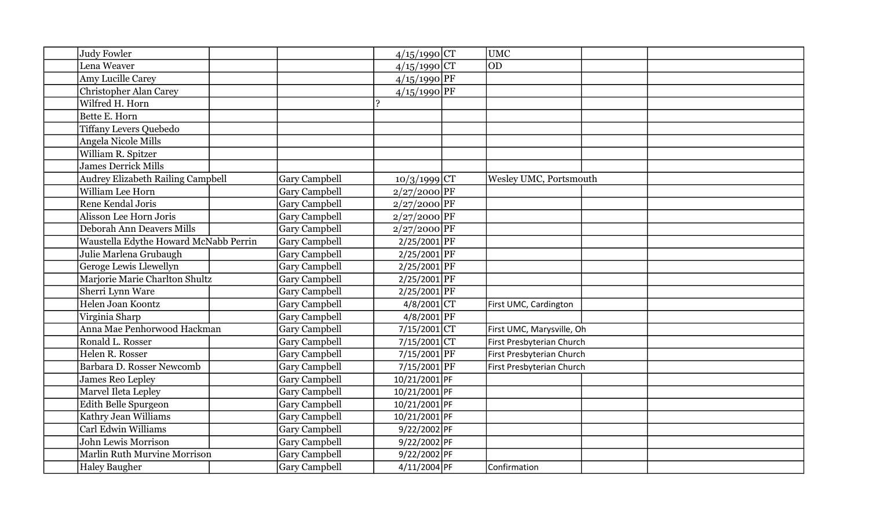| Judy Fowler                              |                      | $4/15/1990$ CT                     | <b>UMC</b>                |  |
|------------------------------------------|----------------------|------------------------------------|---------------------------|--|
| Lena Weaver                              |                      | $4/15/1990$ CT                     | <b>OD</b>                 |  |
| Amy Lucille Carey                        |                      | $4/15/1990$ PF                     |                           |  |
| <b>Christopher Alan Carey</b>            |                      | $4/15/1990$ PF                     |                           |  |
| Wilfred H. Horn                          |                      | $\mathbf{P}$                       |                           |  |
| Bette E. Horn                            |                      |                                    |                           |  |
| <b>Tiffany Levers Quebedo</b>            |                      |                                    |                           |  |
| Angela Nicole Mills                      |                      |                                    |                           |  |
| William R. Spitzer                       |                      |                                    |                           |  |
| James Derrick Mills                      |                      |                                    |                           |  |
| <b>Audrey Elizabeth Railing Campbell</b> | <b>Gary Campbell</b> | $10/3/1999$ CT                     | Wesley UMC, Portsmouth    |  |
| William Lee Horn                         | <b>Gary Campbell</b> | $2/27/2000$ PF                     |                           |  |
| Rene Kendal Joris                        | <b>Gary Campbell</b> | $2/27/2000$ PF                     |                           |  |
| Alisson Lee Horn Joris                   | <b>Gary Campbell</b> | $2/27/2000$ PF                     |                           |  |
| Deborah Ann Deavers Mills                | Gary Campbell        | $2/27/2000$ PF                     |                           |  |
| Waustella Edythe Howard McNabb Perrin    | <b>Gary Campbell</b> | $2/25/2001$ PF                     |                           |  |
| Julie Marlena Grubaugh                   | <b>Gary Campbell</b> | 2/25/2001 PF                       |                           |  |
| Geroge Lewis Llewellyn                   | <b>Gary Campbell</b> | 2/25/2001 PF                       |                           |  |
| Marjorie Marie Charlton Shultz           | <b>Gary Campbell</b> | $2/25/2001$ PF                     |                           |  |
| Sherri Lynn Ware                         | <b>Gary Campbell</b> | $2/25/2001$ PF                     |                           |  |
| Helen Joan Koontz                        | <b>Gary Campbell</b> | $4/8/200\overline{1}\overline{CT}$ | First UMC, Cardington     |  |
| Virginia Sharp                           | <b>Gary Campbell</b> | $4/8/2001$ PF                      |                           |  |
| Anna Mae Penhorwood Hackman              | <b>Gary Campbell</b> | $7/15/2001$ CT                     | First UMC, Marysville, Oh |  |
| Ronald L. Rosser                         | <b>Gary Campbell</b> | $7/15/2001$ CT                     | First Presbyterian Church |  |
| Helen R. Rosser                          | <b>Gary Campbell</b> | $7/15/2001$ PF                     | First Presbyterian Church |  |
| Barbara D. Rosser Newcomb                | <b>Gary Campbell</b> | $7/15/2001$ PF                     | First Presbyterian Church |  |
| James Reo Lepley                         | <b>Gary Campbell</b> | 10/21/2001 PF                      |                           |  |
| Marvel Ileta Lepley                      | <b>Gary Campbell</b> | 10/21/2001 PF                      |                           |  |
| Edith Belle Spurgeon                     | <b>Gary Campbell</b> | 10/21/2001 PF                      |                           |  |
| Kathry Jean Williams                     | <b>Gary Campbell</b> | 10/21/2001 PF                      |                           |  |
| Carl Edwin Williams                      | <b>Gary Campbell</b> | 9/22/2002 PF                       |                           |  |
| John Lewis Morrison                      | <b>Gary Campbell</b> | 9/22/2002 PF                       |                           |  |
| Marlin Ruth Murvine Morrison             | <b>Gary Campbell</b> | 9/22/2002 PF                       |                           |  |
| <b>Haley Baugher</b>                     | Gary Campbell        | 4/11/2004 PF                       | Confirmation              |  |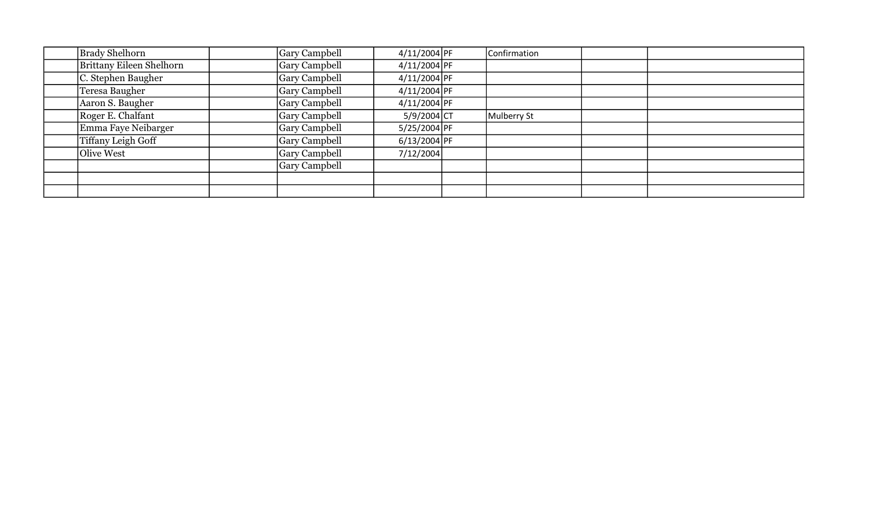| <b>Brady Shelhorn</b>           | <b>Gary Campbell</b> | 4/11/2004 PF   | Confirmation |  |
|---------------------------------|----------------------|----------------|--------------|--|
| <b>Brittany Eileen Shelhorn</b> | <b>Gary Campbell</b> | 4/11/2004 PF   |              |  |
| C. Stephen Baugher              | <b>Gary Campbell</b> | 4/11/2004 PF   |              |  |
| Teresa Baugher                  | <b>Gary Campbell</b> | 4/11/2004 PF   |              |  |
| Aaron S. Baugher                | <b>Gary Campbell</b> | 4/11/2004 PF   |              |  |
| Roger E. Chalfant               | <b>Gary Campbell</b> | $5/9/2004$ CT  | Mulberry St  |  |
| Emma Faye Neibarger             | <b>Gary Campbell</b> | 5/25/2004 PF   |              |  |
| <b>Tiffany Leigh Goff</b>       | <b>Gary Campbell</b> | $6/13/2004$ PF |              |  |
| Olive West                      | <b>Gary Campbell</b> | 7/12/2004      |              |  |
|                                 | <b>Gary Campbell</b> |                |              |  |
|                                 |                      |                |              |  |
|                                 |                      |                |              |  |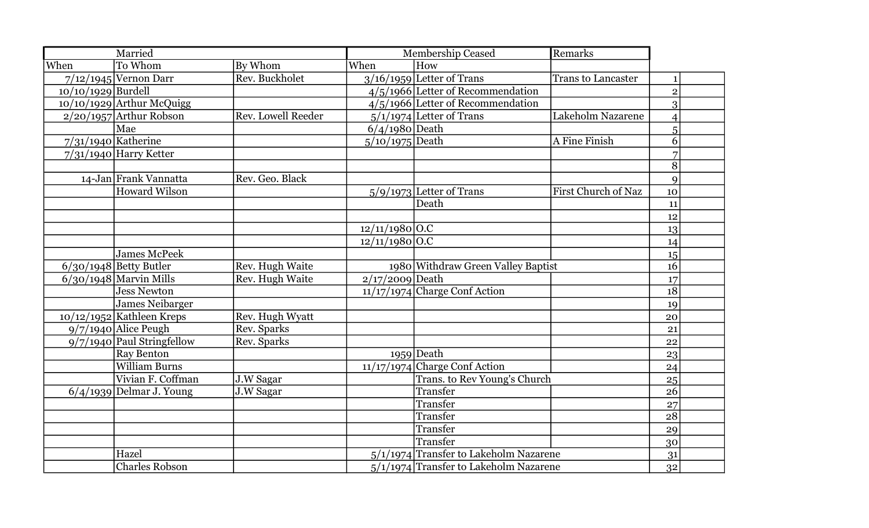|                      | Married                      |                           |                   | <b>Membership Ceased</b>                 | Remarks                   |                |  |
|----------------------|------------------------------|---------------------------|-------------------|------------------------------------------|---------------------------|----------------|--|
| When                 | To Whom                      | By Whom                   | When              | How                                      |                           |                |  |
|                      | $7/12/1945$ Vernon Darr      | Rev. Buckholet            |                   | $3/16/1959$ Letter of Trans              | <b>Trans to Lancaster</b> | $\mathbf{1}$   |  |
| $10/10/1929$ Burdell |                              |                           |                   | 4/5/1966 Letter of Recommendation        |                           | $\overline{2}$ |  |
|                      | 10/10/1929 Arthur McQuigg    |                           |                   | $4/5/1966$ Letter of Recommendation      |                           | 3              |  |
|                      | $2/20/1957$ Arthur Robson    | <b>Rev. Lowell Reeder</b> |                   | $5/1/1974$ Letter of Trans               | Lakeholm Nazarene         | $\overline{4}$ |  |
|                      | Mae                          |                           | $6/4/1980$ Death  |                                          |                           | 5              |  |
|                      | $7/31/1940$ Katherine        |                           | $5/10/1975$ Death |                                          | A Fine Finish             | 6              |  |
|                      | 7/31/1940 Harry Ketter       |                           |                   |                                          |                           | 7              |  |
|                      |                              |                           |                   |                                          |                           | 8              |  |
|                      | 14-Jan Frank Vannatta        | Rev. Geo. Black           |                   |                                          |                           | $\mathbf Q$    |  |
|                      | Howard Wilson                |                           |                   | $5/9/1973$ Letter of Trans               | First Church of Naz       | 10             |  |
|                      |                              |                           |                   | Death                                    |                           | 11             |  |
|                      |                              |                           |                   |                                          |                           | 12             |  |
|                      |                              |                           | $12/11/1980$ O.C  |                                          |                           | 13             |  |
|                      |                              |                           | $12/11/1980$ O.C  |                                          |                           | 14             |  |
|                      | <b>James McPeek</b>          |                           |                   |                                          |                           | 15             |  |
|                      | $6/30/1948$ Betty Butler     | Rev. Hugh Waite           |                   | 1980 Withdraw Green Valley Baptist       |                           | 16             |  |
|                      | $6/30/1948$ Marvin Mills     | Rev. Hugh Waite           | $2/17/2009$ Death |                                          |                           | 17             |  |
|                      | <b>Jess Newton</b>           |                           |                   | $11/17/1974$ Charge Conf Action          |                           | 18             |  |
|                      | James Neibarger              |                           |                   |                                          |                           | 19             |  |
|                      | $10/12/1952$ Kathleen Kreps  | Rev. Hugh Wyatt           |                   |                                          |                           | 20             |  |
|                      | $9/7/1940$ Alice Peugh       | Rev. Sparks               |                   |                                          |                           | 21             |  |
|                      | $9/7/1940$ Paul Stringfellow | Rev. Sparks               |                   |                                          |                           | 22             |  |
|                      | <b>Ray Benton</b>            |                           |                   | $1959$ Death                             |                           | 23             |  |
|                      | <b>William Burns</b>         |                           |                   | $11/17/1974$ Charge Conf Action          |                           | 24             |  |
|                      | Vivian F. Coffman            | J.W Sagar                 |                   | Trans. to Rev Young's Church             |                           | 25             |  |
|                      | $6/4/1939$ Delmar J. Young   | J.W Sagar                 |                   | Transfer                                 |                           | 26             |  |
|                      |                              |                           |                   | Transfer                                 |                           | 27             |  |
|                      |                              |                           |                   | Transfer                                 |                           | 28             |  |
|                      |                              |                           |                   | Transfer                                 |                           | 29             |  |
|                      |                              |                           |                   | Transfer                                 |                           | 30             |  |
|                      | Hazel                        |                           |                   | $5/1/1974$ Transfer to Lakeholm Nazarene |                           | 31             |  |
|                      | <b>Charles Robson</b>        |                           |                   | $5/1/1974$ Transfer to Lakeholm Nazarene |                           | 32             |  |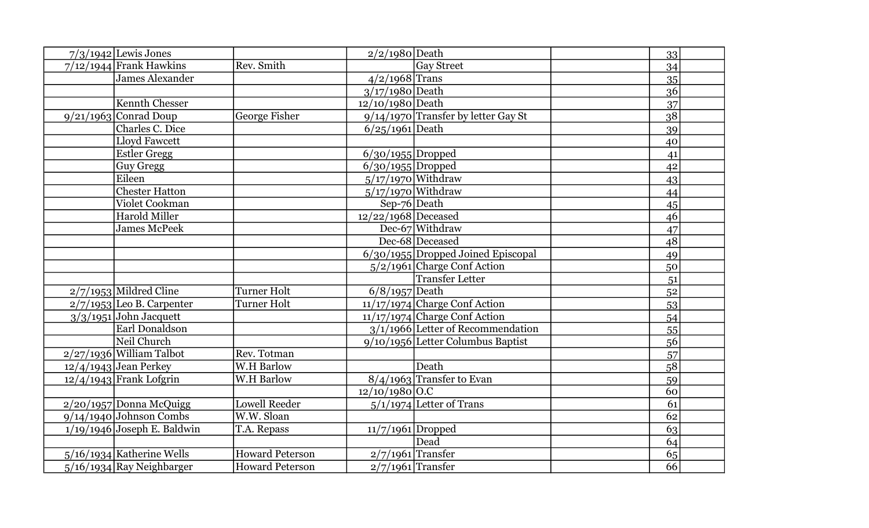| $7/3/1942$ Lewis Jones        |                        | $2/2/1980$ Death      |                                       | 33 |
|-------------------------------|------------------------|-----------------------|---------------------------------------|----|
| $7/12/1944$ Frank Hawkins     | Rev. Smith             |                       | <b>Gav Street</b>                     | 34 |
| James Alexander               |                        | $4/2/1968$ Trans      |                                       | 35 |
|                               |                        | $3/17/1980$ Death     |                                       | 36 |
| <b>Kennth Chesser</b>         |                        | 12/10/1980 Death      |                                       | 37 |
| $9/21/1963$ Conrad Doup       | George Fisher          |                       | $9/14/1970$ Transfer by letter Gay St | 38 |
| Charles C. Dice               |                        | $6/25/1961$ Death     |                                       | 39 |
| Lloyd Fawcett                 |                        |                       |                                       | 40 |
| <b>Estler Gregg</b>           |                        | $6/30/1955$ Dropped   |                                       | 41 |
| <b>Guy Gregg</b>              |                        | $6/30/1955$ Dropped   |                                       | 42 |
| Eileen                        |                        |                       | $5/17/1970$ Withdraw                  | 43 |
| <b>Chester Hatton</b>         |                        |                       | $5/17/1970$ Withdraw                  | 44 |
| Violet Cookman                |                        | Sep-76 Death          |                                       | 45 |
| <b>Harold Miller</b>          |                        | $12/22/1968$ Deceased |                                       | 46 |
| <b>James McPeek</b>           |                        |                       | Dec-67 Withdraw                       | 47 |
|                               |                        |                       | Dec-68 Deceased                       | 48 |
|                               |                        |                       | $6/30/1955$ Dropped Joined Episcopal  | 49 |
|                               |                        |                       | $5/2/1961$ Charge Conf Action         | 50 |
|                               |                        |                       | <b>Transfer Letter</b>                | 51 |
| 2/7/1953 Mildred Cline        | Turner Holt            | $6/8/1957$ Death      |                                       | 52 |
| $2/7/1953$ Leo B. Carpenter   | <b>Turner Holt</b>     |                       | $11/17/1974$ Charge Conf Action       | 53 |
| $3/3/1951$ John Jacquett      |                        |                       | $11/17/1974$ Charge Conf Action       | 54 |
| Earl Donaldson                |                        |                       | $3/1/1966$ Letter of Recommendation   | 55 |
| Neil Church                   |                        |                       | $9/10/1956$ Letter Columbus Baptist   | 56 |
| $2/27/1936$ William Talbot    | Rev. Totman            |                       |                                       | 57 |
| $12/4/1943$ Jean Perkey       | <b>W.H Barlow</b>      |                       | Death                                 | 58 |
| $12/4/1943$ Frank Lofgrin     | <b>W.H Barlow</b>      |                       | $8/4/1963$ Transfer to Evan           | 59 |
|                               |                        | $12/10/1980$ O.C      |                                       | 60 |
| $2/20/1957$ Donna McQuigg     | Lowell Reeder          |                       | $5/1/1974$ Letter of Trans            | 61 |
| $9/14/1940$ Johnson Combs     | W.W. Sloan             |                       |                                       | 62 |
| $1/19/1946$ Joseph E. Baldwin | T.A. Repass            | 11/7/1961 Dropped     |                                       | 63 |
|                               |                        |                       | Dead                                  | 64 |
| $5/16/1934$ Katherine Wells   | <b>Howard Peterson</b> | $2/7/1961$ Transfer   |                                       | 65 |
| 5/16/1934 Ray Neighbarger     | <b>Howard Peterson</b> | $2/7/1961$ Transfer   |                                       | 66 |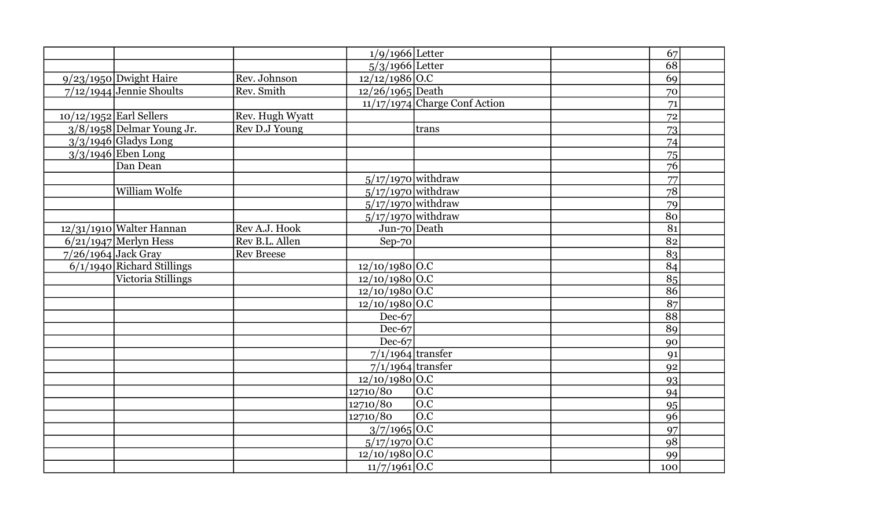|                       |                              |                   | $1/9/1966$ Letter           |                                 | 67              |
|-----------------------|------------------------------|-------------------|-----------------------------|---------------------------------|-----------------|
|                       |                              |                   | $5/3/1966$ Letter           |                                 | 68              |
|                       | $9/23/1950$ Dwight Haire     | Rev. Johnson      | $12/12/1986$ O.C            |                                 | 69              |
|                       | $7/12/1944$ Jennie Shoults   | Rev. Smith        | $12/26/1965$ Death          |                                 | 70              |
|                       |                              |                   |                             | $11/17/1974$ Charge Conf Action | 71              |
|                       | $10/12/1952$ Earl Sellers    | Rev. Hugh Wyatt   |                             |                                 | 72              |
|                       | $3/8/1958$ Delmar Young Jr.  | Rev D.J Young     |                             | trans                           | 73              |
|                       | $3/3/1946$ Gladys Long       |                   |                             |                                 | 74              |
|                       | $3/3/1946$ Eben Long         |                   |                             |                                 | 75              |
|                       | Dan Dean                     |                   |                             |                                 | 76              |
|                       |                              |                   | $5/17/1970$ withdraw        |                                 | 77              |
|                       | <b>William Wolfe</b>         |                   | $5/17/1970$ withdraw        |                                 | $\overline{78}$ |
|                       |                              |                   | $5/17/1970$ withdraw        |                                 | 79              |
|                       |                              |                   | $5/17/1970$ withdraw        |                                 | 80              |
|                       | 12/31/1910 Walter Hannan     | Rev A.J. Hook     | Jun-70 Death                |                                 | $\overline{81}$ |
|                       | $6/21/1947$ Merlyn Hess      | Rev B.L. Allen    | Sep-70                      |                                 | 82              |
| $7/26/1964$ Jack Gray |                              | <b>Rev Breese</b> |                             |                                 | 83              |
|                       | $6/1/1940$ Richard Stillings |                   | $12/10/1980$ O.C            |                                 | 84              |
|                       | Victoria Stillings           |                   | $12/10/1980$ O.C            |                                 | $\overline{85}$ |
|                       |                              |                   | $12/10/1980$ O.C            |                                 | 86              |
|                       |                              |                   | $12/10/1980\overline{)0.C}$ |                                 | 87              |
|                       |                              |                   | Dec-67                      |                                 | $\overline{88}$ |
|                       |                              |                   | Dec-67                      |                                 | 89              |
|                       |                              |                   | $Dec-67$                    |                                 | 90              |
|                       |                              |                   | $7/1/1964$ transfer         |                                 | 91              |
|                       |                              |                   | $7/1/1964$ transfer         |                                 | 92              |
|                       |                              |                   | $12/10/1980$ O.C            |                                 | 93              |
|                       |                              |                   | 12710/80                    | O.C                             | 94              |
|                       |                              |                   | 12710/80                    | $\overline{O.C}$                | 95              |
|                       |                              |                   | 12710/80                    | $\overline{O.C}$                | 96              |
|                       |                              |                   | $3/7/1965$ O.C              |                                 | 97              |
|                       |                              |                   | $5/17/1970$ O.C             |                                 | 98              |
|                       |                              |                   | $12/10/1980$ O.C            |                                 | 99              |
|                       |                              |                   | $11/7/1961$ O.C             |                                 | 100             |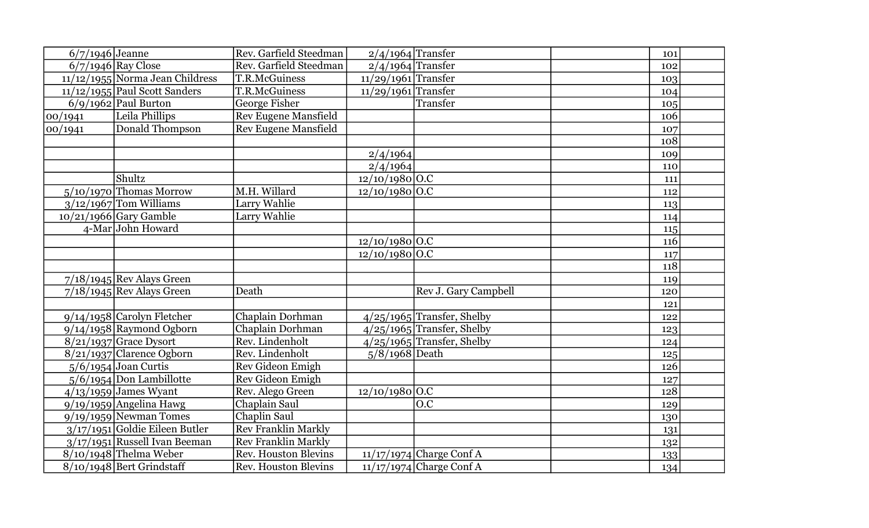| $6/7/1946$ Jeanne |                                  | Rev. Garfield Steedman      | $2/4/1964$ Transfer   |                              | 101 |  |
|-------------------|----------------------------------|-----------------------------|-----------------------|------------------------------|-----|--|
|                   | $6/7/1946$ Ray Close             | Rev. Garfield Steedman      | $2/4/1964$ Transfer   |                              | 102 |  |
|                   | 11/12/1955 Norma Jean Childress  | T.R.McGuiness               | 11/29/1961 Transfer   |                              | 103 |  |
|                   | $11/12/1955$ Paul Scott Sanders  | T.R.McGuiness               | $11/29/1961$ Transfer |                              | 104 |  |
|                   | $6/9/1962$ Paul Burton           | George Fisher               |                       | Transfer                     | 105 |  |
| 00/1941           | Leila Phillips                   | Rev Eugene Mansfield        |                       |                              | 106 |  |
| 00/1941           | Donald Thompson                  | <b>Rev Eugene Mansfield</b> |                       |                              | 107 |  |
|                   |                                  |                             |                       |                              | 108 |  |
|                   |                                  |                             | 2/4/1964              |                              | 109 |  |
|                   |                                  |                             | 2/4/1964              |                              | 110 |  |
|                   | Shultz                           |                             | $12/10/1980$ O.C      |                              | 111 |  |
|                   | $5/10/1970$ Thomas Morrow        | M.H. Willard                | $12/10/1980$ O.C      |                              | 112 |  |
|                   | $3/12/1967$ Tom Williams         | Larry Wahlie                |                       |                              | 113 |  |
|                   | $10/21/1966$ Gary Gamble         | Larry Wahlie                |                       |                              | 114 |  |
|                   | 4-Mar John Howard                |                             |                       |                              | 115 |  |
|                   |                                  |                             | $12/10/1980$ O.C      |                              | 116 |  |
|                   |                                  |                             | $12/10/1980$ O.C      |                              | 117 |  |
|                   |                                  |                             |                       |                              | 118 |  |
|                   | $7/18/1945$ Rev Alays Green      |                             |                       |                              | 119 |  |
|                   | $7/18/1945$ Rev Alays Green      | Death                       |                       | Rev J. Gary Campbell         | 120 |  |
|                   |                                  |                             |                       |                              | 121 |  |
|                   | $9/14/1958$ Carolyn Fletcher     | Chaplain Dorhman            |                       | $4/25/1965$ Transfer, Shelby | 122 |  |
|                   | $9/14/1958$ Raymond Ogborn       | Chaplain Dorhman            |                       | $4/25/1965$ Transfer, Shelby | 123 |  |
|                   | $8/21/1937$ Grace Dysort         | Rev. Lindenholt             |                       | $4/25/1965$ Transfer, Shelby | 124 |  |
|                   | $8/21/1937$ Clarence Ogborn      | Rev. Lindenholt             | $5/8/1968$ Death      |                              | 125 |  |
|                   | $5/6/1954$ Joan Curtis           | Rev Gideon Emigh            |                       |                              | 126 |  |
|                   | $5/6/1954$ Don Lambillotte       | Rev Gideon Emigh            |                       |                              | 127 |  |
|                   | $4/13/1959$ James Wyant          | Rev. Alego Green            | $12/10/1980$ O.C      |                              | 128 |  |
|                   | $9/19/1959$ Angelina Hawg        | Chaplain Saul               |                       | O.C                          | 129 |  |
|                   | $9/19/1959$ Newman Tomes         | Chaplin Saul                |                       |                              | 130 |  |
|                   | $3/17/1951$ Goldie Eileen Butler | <b>Rev Franklin Markly</b>  |                       |                              | 131 |  |
|                   | $3/17/1951$ Russell Ivan Beeman  | <b>Rev Franklin Markly</b>  |                       |                              | 132 |  |
|                   | $8/10/1948$ Thelma Weber         | <b>Rev. Houston Blevins</b> |                       | $11/17/1974$ Charge Conf A   | 133 |  |
|                   | $8/10/1948$ Bert Grindstaff      | <b>Rev. Houston Blevins</b> |                       | $11/17/1974$ Charge Conf A   | 134 |  |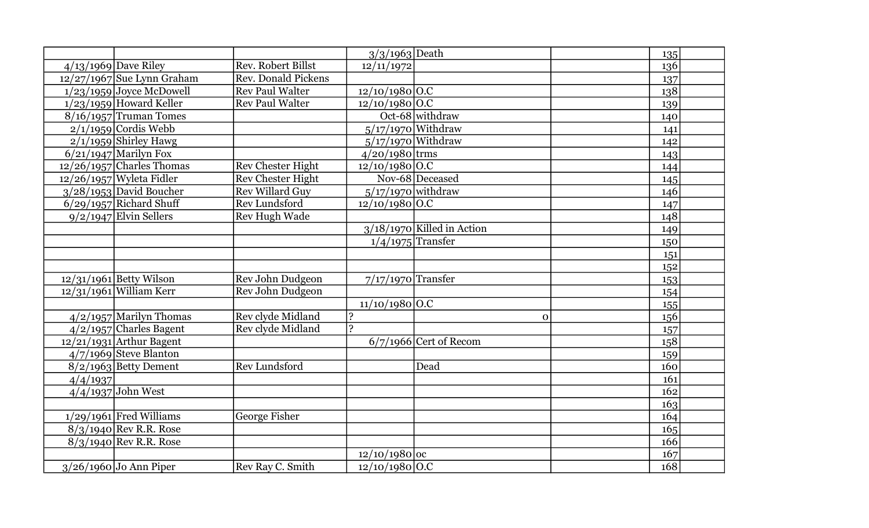|          |                              |                            | $3/3/1963$ Death     |                              | 135 |
|----------|------------------------------|----------------------------|----------------------|------------------------------|-----|
|          | $4/13/1969$ Dave Riley       | <b>Rev. Robert Billst</b>  | 12/11/1972           |                              | 136 |
|          | $12/27/1967$ Sue Lynn Graham | <b>Rev. Donald Pickens</b> |                      |                              | 137 |
|          | $1/23/1959$ Joyce McDowell   | <b>Rev Paul Walter</b>     | $12/10/1980$ O.C     |                              | 138 |
|          | $1/23/1959$ Howard Keller    | <b>Rev Paul Walter</b>     | $12/10/1980$ O.C     |                              | 139 |
|          | $8/16/1957$ Truman Tomes     |                            |                      | Oct-68 withdraw              | 140 |
|          | $2/1/1959$ Cordis Webb       |                            |                      | $5/17/1970$ Withdraw         | 141 |
|          | $2/1/1959$ Shirley Hawg      |                            |                      | $5/17/1970$ Withdraw         | 142 |
|          | $6/21/1947$ Marilyn Fox      |                            | $4/20/1980$ trms     |                              | 143 |
|          | $12/26/1957$ Charles Thomas  | <b>Rev Chester Hight</b>   | $12/10/1980$ O.C     |                              | 144 |
|          | $12/26/1957$ Wyleta Fidler   | <b>Rev Chester Hight</b>   |                      | Nov-68 Deceased              | 145 |
|          | $3/28/1953$ David Boucher    | <b>Rev Willard Guy</b>     | $5/17/1970$ withdraw |                              | 146 |
|          | $6/29/1957$ Richard Shuff    | <b>Rev Lundsford</b>       | $12/10/1980$ O.C     |                              | 147 |
|          | $9/2/1947$ Elvin Sellers     | <b>Rev Hugh Wade</b>       |                      |                              | 148 |
|          |                              |                            |                      | $3/18/1970$ Killed in Action | 149 |
|          |                              |                            | $1/4/1975$ Transfer  |                              | 150 |
|          |                              |                            |                      |                              | 151 |
|          |                              |                            |                      |                              | 152 |
|          | 12/31/1961 Betty Wilson      | Rev John Dudgeon           | $7/17/1970$ Transfer |                              | 153 |
|          | $12/31/1961$ William Kerr    | Rev John Dudgeon           |                      |                              | 154 |
|          |                              |                            | $11/10/1980$ O.C     |                              | 155 |
|          | $4/2/1957$ Marilyn Thomas    | Rev clyde Midland          |                      | $\mathbf 0$                  | 156 |
|          | $4/2/1957$ Charles Bagent    | Rev clyde Midland          | 2                    |                              | 157 |
|          | $12/21/1931$ Arthur Bagent   |                            |                      | $6/7/1966$ Cert of Recom     | 158 |
|          | 4/7/1969 Steve Blanton       |                            |                      |                              | 159 |
|          | $8/2/1963$ Betty Dement      | <b>Rev Lundsford</b>       |                      | Dead                         | 160 |
| 4/4/1937 |                              |                            |                      |                              | 161 |
|          | $4/4/1937$ John West         |                            |                      |                              | 162 |
|          |                              |                            |                      |                              | 163 |
|          | $1/29/1961$ Fred Williams    | George Fisher              |                      |                              | 164 |
|          | $8/3/1940$ Rev R.R. Rose     |                            |                      |                              | 165 |
|          | 8/3/1940 Rev R.R. Rose       |                            |                      |                              | 166 |
|          |                              |                            | $12/10/1980$ oc      |                              | 167 |
|          | $3/26/1960$ Jo Ann Piper     | Rev Ray C. Smith           | $12/10/1980$ O.C     |                              | 168 |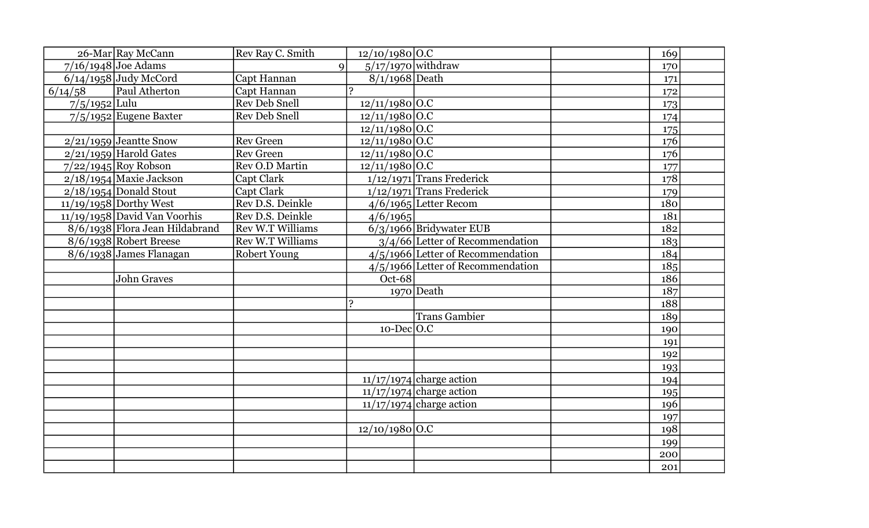|                 | 26-Mar Ray McCann              | Rev Ray C. Smith        | $12/10/1980$ O.C            |                                     | 169 |
|-----------------|--------------------------------|-------------------------|-----------------------------|-------------------------------------|-----|
|                 | $7/16/1948$ Joe Adams          | $\mathbf Q$             | $5/17/1970$ withdraw        |                                     | 170 |
|                 | $6/14/1958$ Judy McCord        | Capt Hannan             | $8/1/1968$ Death            |                                     | 171 |
| 6/14/58         | Paul Atherton                  | Capt Hannan             | C                           |                                     | 172 |
| $7/5/1952$ Lulu |                                | <b>Rev Deb Snell</b>    | $12/11/1980$ O.C            |                                     | 173 |
|                 | $7/5/1952$ Eugene Baxter       | <b>Rev Deb Snell</b>    | $12/11/1980$ O.C            |                                     | 174 |
|                 |                                |                         | $12/11/1980$ O.C            |                                     | 175 |
|                 | $2/21/1959$ Jeantte Snow       | <b>Rev Green</b>        | $12/11/1980$ O.C            |                                     | 176 |
|                 | $2/21/1959$ Harold Gates       | <b>Rev Green</b>        | $12/11/1980$ O.C            |                                     | 176 |
|                 | $7/22/1945$ Roy Robson         | Rev O.D Martin          | $12/11/1980$ O.C            |                                     | 177 |
|                 | $2/18/1954$ Maxie Jackson      | Capt Clark              |                             | $1/12/1971$ Trans Frederick         | 178 |
|                 | $2/18/1954$ Donald Stout       | Capt Clark              |                             | $1/12/1971$ Trans Frederick         | 179 |
|                 | $11/19/1958$ Dorthy West       | Rev D.S. Deinkle        |                             | $4/6/1965$ Letter Recom             | 180 |
|                 | $11/19/1958$ David Van Voorhis | Rev D.S. Deinkle        | 4/6/1965                    |                                     | 181 |
|                 | 8/6/1938 Flora Jean Hildabrand | <b>Rev W.T Williams</b> |                             | 6/3/1966 Bridywater EUB             | 182 |
|                 | $8/6/1938$ Robert Breese       | <b>Rev W.T Williams</b> |                             | $3/4/66$ Letter of Recommendation   | 183 |
|                 | $8/6/1938$ James Flanagan      | <b>Robert Young</b>     |                             | $4/5/1966$ Letter of Recommendation | 184 |
|                 |                                |                         |                             | $4/5/1966$ Letter of Recommendation | 185 |
|                 | <b>John Graves</b>             |                         | Oct-68                      |                                     | 186 |
|                 |                                |                         |                             | $1970$ Death                        | 187 |
|                 |                                |                         |                             |                                     | 188 |
|                 |                                |                         |                             | <b>Trans Gambier</b>                | 189 |
|                 |                                |                         | $10$ -Dec $\overline{O}$ .C |                                     | 190 |
|                 |                                |                         |                             |                                     | 191 |
|                 |                                |                         |                             |                                     | 192 |
|                 |                                |                         |                             |                                     | 193 |
|                 |                                |                         |                             | $11/17/1974$ charge action          | 194 |
|                 |                                |                         |                             | $11/17/1974$ charge action          | 195 |
|                 |                                |                         |                             | $11/17/1974$ charge action          | 196 |
|                 |                                |                         |                             |                                     | 197 |
|                 |                                |                         | $12/10/1980$ O.C            |                                     | 198 |
|                 |                                |                         |                             |                                     | 199 |
|                 |                                |                         |                             |                                     | 200 |
|                 |                                |                         |                             |                                     | 201 |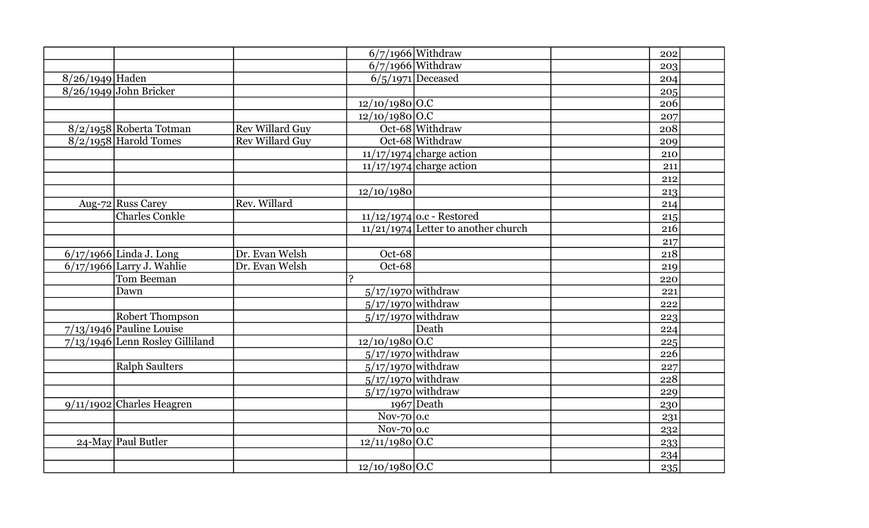|                 |                                   |                        |                      | $6/7/1966$ Withdraw                 | 202 |
|-----------------|-----------------------------------|------------------------|----------------------|-------------------------------------|-----|
|                 |                                   |                        |                      | $6/7/1966$ Withdraw                 | 203 |
| 8/26/1949 Haden |                                   |                        |                      | $6/5/1971$ Deceased                 | 204 |
|                 | 8/26/1949 John Bricker            |                        |                      |                                     | 205 |
|                 |                                   |                        | $12/10/1980$ O.C     |                                     | 206 |
|                 |                                   |                        | $12/10/1980$ O.C     |                                     | 207 |
|                 | 8/2/1958 Roberta Totman           | <b>Rev Willard Guy</b> |                      | Oct-68 Withdraw                     | 208 |
|                 | $8/2/1958$ Harold Tomes           | <b>Rev Willard Guy</b> |                      | Oct-68 Withdraw                     | 209 |
|                 |                                   |                        |                      | $11/17/1974$ charge action          | 210 |
|                 |                                   |                        |                      | $11/17/1974$ charge action          | 211 |
|                 |                                   |                        |                      |                                     | 212 |
|                 |                                   |                        | 12/10/1980           |                                     | 213 |
|                 | Aug-72 Russ Carey                 | Rev. Willard           |                      |                                     | 214 |
|                 | <b>Charles Conkle</b>             |                        |                      | $11/12/1974$ o.c - Restored         | 215 |
|                 |                                   |                        |                      | 11/21/1974 Letter to another church | 216 |
|                 |                                   |                        |                      |                                     | 217 |
|                 | $\sqrt{6/17/1966}$ Linda J. Long  | Dr. Evan Welsh         | Oct-68               |                                     | 218 |
|                 | $6/17/1966$ Larry J. Wahlie       | Dr. Evan Welsh         | Oct-68               |                                     | 219 |
|                 | Tom Beeman                        |                        | $\mathbf{C}$         |                                     | 220 |
|                 | Dawn                              |                        | $5/17/1970$ withdraw |                                     | 221 |
|                 |                                   |                        | $5/17/1970$ withdraw |                                     | 222 |
|                 | <b>Robert Thompson</b>            |                        | $5/17/1970$ withdraw |                                     | 223 |
|                 | 7/13/1946 Pauline Louise          |                        |                      | Death                               | 224 |
|                 | $7/13/1946$ Lenn Rosley Gilliland |                        | $12/10/1980$ O.C     |                                     | 225 |
|                 |                                   |                        | $5/17/1970$ withdraw |                                     | 226 |
|                 | <b>Ralph Saulters</b>             |                        | $5/17/1970$ withdraw |                                     | 227 |
|                 |                                   |                        | $5/17/1970$ withdraw |                                     | 228 |
|                 |                                   |                        | $5/17/1970$ withdraw |                                     | 229 |
|                 | $9/11/1902$ Charles Heagren       |                        |                      | $1967$ Death                        | 230 |
|                 |                                   |                        | Nov-70 $\vert$ 0.c   |                                     | 231 |
|                 |                                   |                        | Nov-70 $\vert$ 0.c   |                                     | 232 |
|                 | 24-May Paul Butler                |                        | $12/11/1980$ O.C     |                                     | 233 |
|                 |                                   |                        |                      |                                     | 234 |
|                 |                                   |                        | $12/10/1980$ O.C     |                                     | 235 |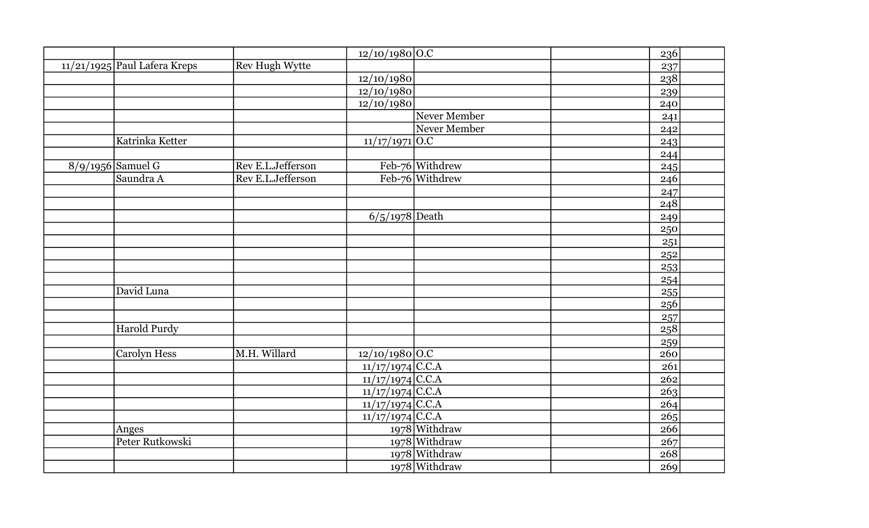|                                |                       | 12/10/1980 O.C     |                 | 236 |
|--------------------------------|-----------------------|--------------------|-----------------|-----|
| $11/21/1925$ Paul Lafera Kreps | <b>Rev Hugh Wytte</b> |                    |                 | 237 |
|                                |                       | 12/10/1980         |                 | 238 |
|                                |                       | 12/10/1980         |                 | 239 |
|                                |                       | 12/10/1980         |                 | 240 |
|                                |                       |                    | Never Member    | 241 |
|                                |                       |                    | Never Member    | 242 |
| Katrinka Ketter                |                       | $11/17/1971$ O.C   |                 | 243 |
|                                |                       |                    |                 | 244 |
| $8/9/1956$ Samuel G            | Rev E.L.Jefferson     |                    | Feb-76 Withdrew | 245 |
| Saundra A                      | Rev E.L.Jefferson     |                    | Feb-76 Withdrew | 246 |
|                                |                       |                    |                 | 247 |
|                                |                       |                    |                 | 248 |
|                                |                       | $6/5/1978$ Death   |                 | 249 |
|                                |                       |                    |                 | 250 |
|                                |                       |                    |                 | 251 |
|                                |                       |                    |                 | 252 |
|                                |                       |                    |                 | 253 |
|                                |                       |                    |                 | 254 |
| David Luna                     |                       |                    |                 | 255 |
|                                |                       |                    |                 | 256 |
|                                |                       |                    |                 | 257 |
| <b>Harold Purdy</b>            |                       |                    |                 | 258 |
|                                |                       |                    |                 | 259 |
| <b>Carolyn Hess</b>            | M.H. Willard          | $12/10/1980$ O.C   |                 | 260 |
|                                |                       | $11/17/1974$ C.C.A |                 | 261 |
|                                |                       | $11/17/1974$ C.C.A |                 | 262 |
|                                |                       | $11/17/1974$ C.C.A |                 | 263 |
|                                |                       | $11/17/1974$ C.C.A |                 | 264 |
|                                |                       | $11/17/1974$ C.C.A |                 | 265 |
| Anges                          |                       |                    | 1978 Withdraw   | 266 |
| Peter Rutkowski                |                       |                    | $1978$ Withdraw | 267 |
|                                |                       |                    | 1978 Withdraw   | 268 |
|                                |                       |                    | 1978 Withdraw   | 269 |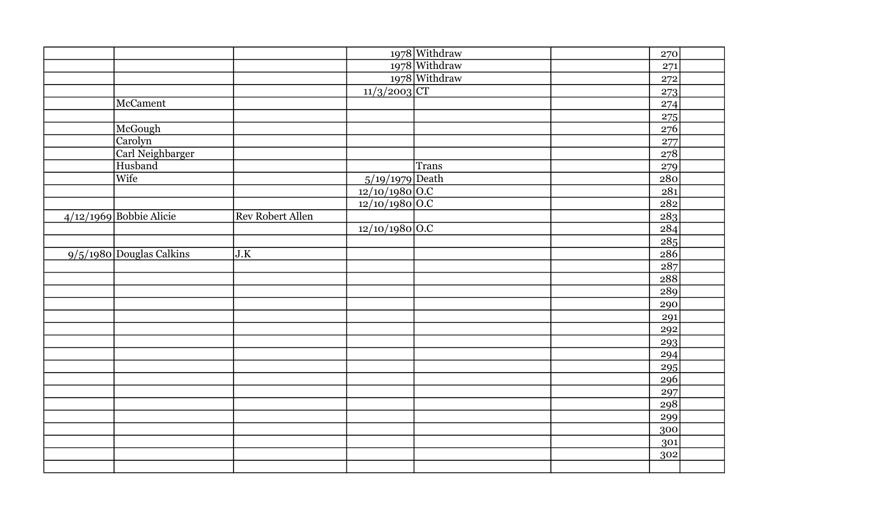|                            |                  |                   | 1978 Withdraw | 270              |
|----------------------------|------------------|-------------------|---------------|------------------|
|                            |                  |                   | 1978 Withdraw | 271              |
|                            |                  |                   | 1978 Withdraw | 272              |
|                            |                  | $11/3/2003$ CT    |               | 273              |
| McCament                   |                  |                   |               | 274              |
|                            |                  |                   |               | 275              |
| McGough                    |                  |                   |               | 276              |
| Carolyn                    |                  |                   |               | 277              |
| Carl Neighbarger           |                  |                   |               | 278              |
| Husband                    |                  |                   | <b>Trans</b>  | 279              |
| Wife                       |                  | $5/19/1979$ Death |               | $\overline{280}$ |
|                            |                  | 12/10/1980 O.C    |               | 281              |
|                            |                  | $12/10/1980$ O.C  |               | 282              |
| $4/12/1969$ Bobbie Alicie  | Rev Robert Allen |                   |               | 283              |
|                            |                  | $12/10/1980$ O.C  |               | 284              |
|                            |                  |                   |               | $\boxed{285}$    |
| $9/5/1980$ Douglas Calkins | J.K              |                   |               | 286              |
|                            |                  |                   |               | 287              |
|                            |                  |                   |               | $\overline{288}$ |
|                            |                  |                   |               | 289              |
|                            |                  |                   |               | 290              |
|                            |                  |                   |               | 291              |
|                            |                  |                   |               | 292              |
|                            |                  |                   |               | 293              |
|                            |                  |                   |               | 294              |
|                            |                  |                   |               | 295              |
|                            |                  |                   |               | 296              |
|                            |                  |                   |               | 297              |
|                            |                  |                   |               | 298              |
|                            |                  |                   |               | 299              |
|                            |                  |                   |               | 300              |
|                            |                  |                   |               | 301              |
|                            |                  |                   |               | 302              |
|                            |                  |                   |               |                  |